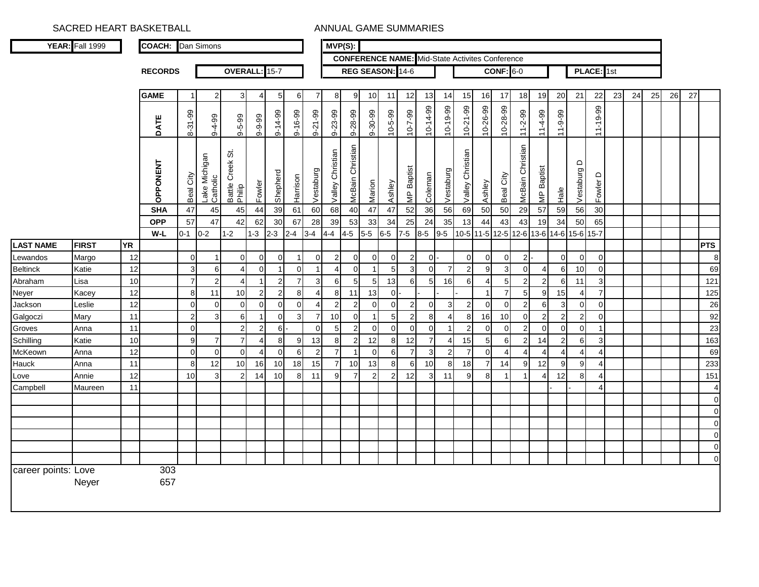| <b>CONFERENCE NAME:</b> Mid-State Activites Conference<br>REG SEASON: 14-6<br>OVERALL: 15-7<br>$CONF: 6-0$<br>PLACE: 1st<br><b>RECORDS</b><br><b>GAME</b><br>$\mathbf{3}$<br>12<br>13<br>16<br>18<br>19<br>20<br>21<br>22<br>23<br>24<br>25<br>26<br>27<br>$\overline{2}$<br>8 <sup>1</sup><br>9<br>10<br>14<br>15<br>17<br>$\overline{1}$<br>5<br>6<br>$\overline{7}$<br>11<br>10-14-99<br>$10-19-99$<br>$10 - 21 - 99$<br>10-26-99<br>10-28-99<br>11-19-99<br>8-31-99<br>$9 - 16 - 99$<br>9-28-99<br>9-30-99<br>$10 - 5 - 99$<br>$10 - 7 - 99$<br>$9 - 14 - 99$<br>$9 - 21 - 99$<br>9-23-99<br>$11 - 2 - 99$<br>$11-4-99$<br>$11 - 9 - 99$<br>$9 - 5 - 99$<br>$9 - 9 - 99$<br>$9 - 4 - 99$<br>DATE<br>McBain Christian<br>McBain Christian<br>Christian<br>Christian<br>ö<br>Lake Michigan<br>Catholic<br>Battle Creek 9<br>Philip<br>OPPONENT<br>$\Omega$<br>MP Baptist<br>Baptist<br>Vestaburg<br>Vestaburg<br>Vestaburg<br>Shepherd<br>Coleman<br>Beal City<br>City<br>≏<br>Harrison<br>Fowler<br>Marion<br>Fowler<br>Valley<br>Ashley<br>Ashley<br>Valley<br>Beal<br>$rac{e}{\pi}$<br>ψ<br>47<br>39<br>60<br>68<br>40<br>47<br>47<br>50<br>50<br>29<br>$30\,$<br><b>SHA</b><br>45<br>44<br>61<br>52<br>36<br>56<br>69<br>57<br>59<br>56<br>45<br>57<br><b>OPP</b><br>47<br>42<br>30<br>67<br>53<br>65<br>62<br>28<br>39<br>33<br>34<br>25<br>24<br>35<br>13<br>43<br>43<br>34<br>50<br>44<br>19<br>$W-L$<br>$0 - 1$<br>$0-2$<br>$1 - 2$<br>$1 - 3$<br>$2 - 3$<br>$4-5$<br>$5-5$<br>$6-5$<br>$7-5$<br>$8-5$<br>$9-5$<br>10-5 11-5 12-5<br>$12 - 6$<br>$13-6$<br>15-6 15-7<br>$2 - 4$<br>$3 - 4$<br>$4 - 4$<br>$14-6$<br><b>YR</b><br><b>FIRST</b><br><b>PTS</b><br><b>LAST NAME</b><br>12<br>$\mathbf 0$<br>$\overline{0}$<br>$\overline{2}$<br>$\overline{2}$<br>$\mathbf 0$<br>$\mathbf 0$<br>Margo<br>$\overline{0}$<br>$\overline{0}$<br>$\overline{0}$<br>$\Omega$<br>$\overline{0}$<br>$\overline{0}$<br>$\overline{2}$<br>$\overline{0}$<br>$\mathbf 0$<br>$\mathbf{0}$<br>$\mathbf 0$<br>$\mathbf 0$<br>Lewandos<br>$\mathbf{1}$<br>-1<br>3<br>12<br>5<br>3<br>$\overline{2}$<br>9<br>3<br>$\Omega$<br>$\mathbf 0$<br>69<br>Katie<br>6<br>$\Omega$<br>$\Omega$<br>$\Omega$<br>$\Omega$<br>7<br>6<br>10<br><b>Beltinck</b><br>$\overline{4}$<br>4<br>$\overline{\mathbf{1}}$<br>-1<br>$\overline{7}$<br>10<br>$\overline{7}$<br>3 <sub>l</sub><br>5 <sub>l</sub><br>13<br>$5\overline{)}$<br>5<br>$\overline{2}$<br>3<br>$\overline{2}$<br>$\overline{4}$<br>$\overline{2}$<br>$6 \overline{6}$<br>5 <sub>l</sub><br>6<br>16<br>6<br>$\overline{2}$<br>121<br>Lisa<br>$\mathbf{1}$<br>$\overline{4}$<br>6<br>11<br>Abraham<br>12<br>8<br>$\overline{7}$<br>$\sqrt{5}$<br>$\overline{7}$<br>11<br>10<br>$\overline{2}$<br>$\overline{2}$<br>8 <sup>1</sup><br>$\overline{0}$<br>9<br>15<br>Kacey<br>$\overline{4}$<br>8 <sup>1</sup><br>11<br>13<br>$\mathbf{1}$<br>$\overline{4}$<br>Neyer<br>12<br>$\mathbf 0$<br>$\overline{0}$<br>$\mathbf{2}$<br>$\boldsymbol{2}$<br>Leslie<br>$\mathbf 0$<br>$\mathbf 0$<br>$\overline{0}$<br>$\overline{2}$<br>$\overline{0}$<br>$\overline{0}$<br>$\overline{2}$<br>3<br>$\overline{2}$<br>0<br>$\mathbf 0$<br>6<br>3<br>$\pmb{0}$<br>Jackson<br>$\overline{0}$<br>$\overline{4}$<br>0<br>0<br>$\overline{2}$<br>$6 \mid$<br>$\overline{7}$<br>10<br>11<br>3<br>$\mathbf 0$<br>$\overline{3}$<br>$\overline{0}$<br>5<br>$\overline{2}$<br>8<br>10<br>$\overline{0}$<br>$\overline{2}$<br>$\overline{2}$<br>$\sqrt{2}$<br>$\mathbf 0$<br>Mary<br>$\overline{1}$<br>$\overline{4}$<br>8<br>16<br>Galgoczi<br>$\mathbf 0$<br>$\overline{2}$<br>$\overline{2}$<br>$\overline{2}$<br>$\Omega$<br>11<br>$\overline{2}$<br>$6 \mid$<br>$\Omega$<br>5<br>$\overline{2}$<br>$\Omega$<br>$\overline{0}$<br>$\mathbf 0$<br>$\overline{0}$<br>$\mathbf 0$<br>$\mathbf 0$<br>$\Omega$<br>$\Omega$<br>Anna<br>Groves<br>$\mathbf{1}$<br>$\overline{7}$<br>10<br>$\boldsymbol{9}$<br>$\bf 8$<br>13<br>8 <sup>8</sup><br>12<br>$\overline{7}$<br>15<br>$6\phantom{1}6$<br>$\overline{2}$<br>$\overline{c}$<br>$\mathsf 3$<br>$\overline{7}$<br>9<br>$\overline{2}$<br>12<br>5<br>6<br>Katie<br>8<br>14<br>Schilling<br>4<br>4<br>$\overline{7}$<br>$\overline{7}$<br>12<br>$\mathbf 0$<br>$\overline{0}$<br>2<br>$\overline{7}$<br>$\overline{3}$<br>$\overline{2}$<br>$\mathbf 0$<br>$\mathbf 0$<br>$\Omega$<br>$6 \mid$<br>$\Omega$<br>6<br>$\overline{4}$<br>$\overline{4}$<br>$\overline{\mathbf{4}}$<br>McKeown<br>Anna<br>$\overline{1}$<br>$\overline{4}$<br>$\overline{A}$<br>$\boldsymbol{\Delta}$<br>8<br>10<br>18<br>$\overline{7}$<br>9<br>9<br>11<br>12<br>10<br>16<br>15<br>$\overline{7}$<br>10<br>13<br>8<br>6<br>14<br>9<br>12<br>$\overline{4}$<br>Hauck<br>Anna<br>10<br>18 <sup>l</sup><br>8<br>10<br>$\overline{2}$<br>$\overline{2}$<br>12<br>3<br>10<br>11<br>9<br>$\overline{7}$<br>12<br>$\mathbf{3}$<br>9<br>8<br>8<br>Annie<br>14<br>8 <sup>1</sup><br>$\overline{2}$<br>11<br>$\overline{1}$<br>12<br>$\overline{4}$<br>Love<br>$\overline{\mathbf{1}}$<br>$\boldsymbol{\Delta}$<br>Campbell<br>11<br>4<br>Maureen | YEAR: Fall 1999 | <b>COACH:</b> | Dan Simons |  |  | $MVP(S)$ : |  |  |  |  |  |  |  |  |  |                      |
|-----------------------------------------------------------------------------------------------------------------------------------------------------------------------------------------------------------------------------------------------------------------------------------------------------------------------------------------------------------------------------------------------------------------------------------------------------------------------------------------------------------------------------------------------------------------------------------------------------------------------------------------------------------------------------------------------------------------------------------------------------------------------------------------------------------------------------------------------------------------------------------------------------------------------------------------------------------------------------------------------------------------------------------------------------------------------------------------------------------------------------------------------------------------------------------------------------------------------------------------------------------------------------------------------------------------------------------------------------------------------------------------------------------------------------------------------------------------------------------------------------------------------------------------------------------------------------------------------------------------------------------------------------------------------------------------------------------------------------------------------------------------------------------------------------------------------------------------------------------------------------------------------------------------------------------------------------------------------------------------------------------------------------------------------------------------------------------------------------------------------------------------------------------------------------------------------------------------------------------------------------------------------------------------------------------------------------------------------------------------------------------------------------------------------------------------------------------------------------------------------------------------------------------------------------------------------------------------------------------------------------------------------------------------------------------------------------------------------------------------------------------------------------------------------------------------------------------------------------------------------------------------------------------------------------------------------------------------------------------------------------------------------------------------------------------------------------------------------------------------------------------------------------------------------------------------------------------------------------------------------------------------------------------------------------------------------------------------------------------------------------------------------------------------------------------------------------------------------------------------------------------------------------------------------------------------------------------------------------------------------------------------------------------------------------------------------------------------------------------------------------------------------------------------------------------------------------------------------------------------------------------------------------------------------------------------------------------------------------------------------------------------------------------------------------------------------------------------------------------------------------------------------------------------------------------------------------------------------------------------------------------------------------------------------------------------------------------------------------------------------------------------------------------------------------------------------------------------------------------------------------------------------------------------------------------------------------------------------------------------------------------------------------------------------------------------------------------------------------------------------------------------------------------------------------------------------------------------------------------------------------------------------------------------------------------------------------------------------------------------------------------------------------------------------------------------------------------|-----------------|---------------|------------|--|--|------------|--|--|--|--|--|--|--|--|--|----------------------|
|                                                                                                                                                                                                                                                                                                                                                                                                                                                                                                                                                                                                                                                                                                                                                                                                                                                                                                                                                                                                                                                                                                                                                                                                                                                                                                                                                                                                                                                                                                                                                                                                                                                                                                                                                                                                                                                                                                                                                                                                                                                                                                                                                                                                                                                                                                                                                                                                                                                                                                                                                                                                                                                                                                                                                                                                                                                                                                                                                                                                                                                                                                                                                                                                                                                                                                                                                                                                                                                                                                                                                                                                                                                                                                                                                                                                                                                                                                                                                                                                                                                                                                                                                                                                                                                                                                                                                                                                                                                                                                                                                                                                                                                                                                                                                                                                                                                                                                                                                                                                                                                                                   |                 |               |            |  |  |            |  |  |  |  |  |  |  |  |  |                      |
|                                                                                                                                                                                                                                                                                                                                                                                                                                                                                                                                                                                                                                                                                                                                                                                                                                                                                                                                                                                                                                                                                                                                                                                                                                                                                                                                                                                                                                                                                                                                                                                                                                                                                                                                                                                                                                                                                                                                                                                                                                                                                                                                                                                                                                                                                                                                                                                                                                                                                                                                                                                                                                                                                                                                                                                                                                                                                                                                                                                                                                                                                                                                                                                                                                                                                                                                                                                                                                                                                                                                                                                                                                                                                                                                                                                                                                                                                                                                                                                                                                                                                                                                                                                                                                                                                                                                                                                                                                                                                                                                                                                                                                                                                                                                                                                                                                                                                                                                                                                                                                                                                   |                 |               |            |  |  |            |  |  |  |  |  |  |  |  |  |                      |
|                                                                                                                                                                                                                                                                                                                                                                                                                                                                                                                                                                                                                                                                                                                                                                                                                                                                                                                                                                                                                                                                                                                                                                                                                                                                                                                                                                                                                                                                                                                                                                                                                                                                                                                                                                                                                                                                                                                                                                                                                                                                                                                                                                                                                                                                                                                                                                                                                                                                                                                                                                                                                                                                                                                                                                                                                                                                                                                                                                                                                                                                                                                                                                                                                                                                                                                                                                                                                                                                                                                                                                                                                                                                                                                                                                                                                                                                                                                                                                                                                                                                                                                                                                                                                                                                                                                                                                                                                                                                                                                                                                                                                                                                                                                                                                                                                                                                                                                                                                                                                                                                                   |                 |               |            |  |  |            |  |  |  |  |  |  |  |  |  |                      |
|                                                                                                                                                                                                                                                                                                                                                                                                                                                                                                                                                                                                                                                                                                                                                                                                                                                                                                                                                                                                                                                                                                                                                                                                                                                                                                                                                                                                                                                                                                                                                                                                                                                                                                                                                                                                                                                                                                                                                                                                                                                                                                                                                                                                                                                                                                                                                                                                                                                                                                                                                                                                                                                                                                                                                                                                                                                                                                                                                                                                                                                                                                                                                                                                                                                                                                                                                                                                                                                                                                                                                                                                                                                                                                                                                                                                                                                                                                                                                                                                                                                                                                                                                                                                                                                                                                                                                                                                                                                                                                                                                                                                                                                                                                                                                                                                                                                                                                                                                                                                                                                                                   |                 |               |            |  |  |            |  |  |  |  |  |  |  |  |  |                      |
|                                                                                                                                                                                                                                                                                                                                                                                                                                                                                                                                                                                                                                                                                                                                                                                                                                                                                                                                                                                                                                                                                                                                                                                                                                                                                                                                                                                                                                                                                                                                                                                                                                                                                                                                                                                                                                                                                                                                                                                                                                                                                                                                                                                                                                                                                                                                                                                                                                                                                                                                                                                                                                                                                                                                                                                                                                                                                                                                                                                                                                                                                                                                                                                                                                                                                                                                                                                                                                                                                                                                                                                                                                                                                                                                                                                                                                                                                                                                                                                                                                                                                                                                                                                                                                                                                                                                                                                                                                                                                                                                                                                                                                                                                                                                                                                                                                                                                                                                                                                                                                                                                   |                 |               |            |  |  |            |  |  |  |  |  |  |  |  |  |                      |
|                                                                                                                                                                                                                                                                                                                                                                                                                                                                                                                                                                                                                                                                                                                                                                                                                                                                                                                                                                                                                                                                                                                                                                                                                                                                                                                                                                                                                                                                                                                                                                                                                                                                                                                                                                                                                                                                                                                                                                                                                                                                                                                                                                                                                                                                                                                                                                                                                                                                                                                                                                                                                                                                                                                                                                                                                                                                                                                                                                                                                                                                                                                                                                                                                                                                                                                                                                                                                                                                                                                                                                                                                                                                                                                                                                                                                                                                                                                                                                                                                                                                                                                                                                                                                                                                                                                                                                                                                                                                                                                                                                                                                                                                                                                                                                                                                                                                                                                                                                                                                                                                                   |                 |               |            |  |  |            |  |  |  |  |  |  |  |  |  |                      |
|                                                                                                                                                                                                                                                                                                                                                                                                                                                                                                                                                                                                                                                                                                                                                                                                                                                                                                                                                                                                                                                                                                                                                                                                                                                                                                                                                                                                                                                                                                                                                                                                                                                                                                                                                                                                                                                                                                                                                                                                                                                                                                                                                                                                                                                                                                                                                                                                                                                                                                                                                                                                                                                                                                                                                                                                                                                                                                                                                                                                                                                                                                                                                                                                                                                                                                                                                                                                                                                                                                                                                                                                                                                                                                                                                                                                                                                                                                                                                                                                                                                                                                                                                                                                                                                                                                                                                                                                                                                                                                                                                                                                                                                                                                                                                                                                                                                                                                                                                                                                                                                                                   |                 |               |            |  |  |            |  |  |  |  |  |  |  |  |  |                      |
|                                                                                                                                                                                                                                                                                                                                                                                                                                                                                                                                                                                                                                                                                                                                                                                                                                                                                                                                                                                                                                                                                                                                                                                                                                                                                                                                                                                                                                                                                                                                                                                                                                                                                                                                                                                                                                                                                                                                                                                                                                                                                                                                                                                                                                                                                                                                                                                                                                                                                                                                                                                                                                                                                                                                                                                                                                                                                                                                                                                                                                                                                                                                                                                                                                                                                                                                                                                                                                                                                                                                                                                                                                                                                                                                                                                                                                                                                                                                                                                                                                                                                                                                                                                                                                                                                                                                                                                                                                                                                                                                                                                                                                                                                                                                                                                                                                                                                                                                                                                                                                                                                   |                 |               |            |  |  |            |  |  |  |  |  |  |  |  |  |                      |
|                                                                                                                                                                                                                                                                                                                                                                                                                                                                                                                                                                                                                                                                                                                                                                                                                                                                                                                                                                                                                                                                                                                                                                                                                                                                                                                                                                                                                                                                                                                                                                                                                                                                                                                                                                                                                                                                                                                                                                                                                                                                                                                                                                                                                                                                                                                                                                                                                                                                                                                                                                                                                                                                                                                                                                                                                                                                                                                                                                                                                                                                                                                                                                                                                                                                                                                                                                                                                                                                                                                                                                                                                                                                                                                                                                                                                                                                                                                                                                                                                                                                                                                                                                                                                                                                                                                                                                                                                                                                                                                                                                                                                                                                                                                                                                                                                                                                                                                                                                                                                                                                                   |                 |               |            |  |  |            |  |  |  |  |  |  |  |  |  |                      |
|                                                                                                                                                                                                                                                                                                                                                                                                                                                                                                                                                                                                                                                                                                                                                                                                                                                                                                                                                                                                                                                                                                                                                                                                                                                                                                                                                                                                                                                                                                                                                                                                                                                                                                                                                                                                                                                                                                                                                                                                                                                                                                                                                                                                                                                                                                                                                                                                                                                                                                                                                                                                                                                                                                                                                                                                                                                                                                                                                                                                                                                                                                                                                                                                                                                                                                                                                                                                                                                                                                                                                                                                                                                                                                                                                                                                                                                                                                                                                                                                                                                                                                                                                                                                                                                                                                                                                                                                                                                                                                                                                                                                                                                                                                                                                                                                                                                                                                                                                                                                                                                                                   |                 |               |            |  |  |            |  |  |  |  |  |  |  |  |  |                      |
|                                                                                                                                                                                                                                                                                                                                                                                                                                                                                                                                                                                                                                                                                                                                                                                                                                                                                                                                                                                                                                                                                                                                                                                                                                                                                                                                                                                                                                                                                                                                                                                                                                                                                                                                                                                                                                                                                                                                                                                                                                                                                                                                                                                                                                                                                                                                                                                                                                                                                                                                                                                                                                                                                                                                                                                                                                                                                                                                                                                                                                                                                                                                                                                                                                                                                                                                                                                                                                                                                                                                                                                                                                                                                                                                                                                                                                                                                                                                                                                                                                                                                                                                                                                                                                                                                                                                                                                                                                                                                                                                                                                                                                                                                                                                                                                                                                                                                                                                                                                                                                                                                   |                 |               |            |  |  |            |  |  |  |  |  |  |  |  |  |                      |
|                                                                                                                                                                                                                                                                                                                                                                                                                                                                                                                                                                                                                                                                                                                                                                                                                                                                                                                                                                                                                                                                                                                                                                                                                                                                                                                                                                                                                                                                                                                                                                                                                                                                                                                                                                                                                                                                                                                                                                                                                                                                                                                                                                                                                                                                                                                                                                                                                                                                                                                                                                                                                                                                                                                                                                                                                                                                                                                                                                                                                                                                                                                                                                                                                                                                                                                                                                                                                                                                                                                                                                                                                                                                                                                                                                                                                                                                                                                                                                                                                                                                                                                                                                                                                                                                                                                                                                                                                                                                                                                                                                                                                                                                                                                                                                                                                                                                                                                                                                                                                                                                                   |                 |               |            |  |  |            |  |  |  |  |  |  |  |  |  |                      |
|                                                                                                                                                                                                                                                                                                                                                                                                                                                                                                                                                                                                                                                                                                                                                                                                                                                                                                                                                                                                                                                                                                                                                                                                                                                                                                                                                                                                                                                                                                                                                                                                                                                                                                                                                                                                                                                                                                                                                                                                                                                                                                                                                                                                                                                                                                                                                                                                                                                                                                                                                                                                                                                                                                                                                                                                                                                                                                                                                                                                                                                                                                                                                                                                                                                                                                                                                                                                                                                                                                                                                                                                                                                                                                                                                                                                                                                                                                                                                                                                                                                                                                                                                                                                                                                                                                                                                                                                                                                                                                                                                                                                                                                                                                                                                                                                                                                                                                                                                                                                                                                                                   |                 |               |            |  |  |            |  |  |  |  |  |  |  |  |  |                      |
|                                                                                                                                                                                                                                                                                                                                                                                                                                                                                                                                                                                                                                                                                                                                                                                                                                                                                                                                                                                                                                                                                                                                                                                                                                                                                                                                                                                                                                                                                                                                                                                                                                                                                                                                                                                                                                                                                                                                                                                                                                                                                                                                                                                                                                                                                                                                                                                                                                                                                                                                                                                                                                                                                                                                                                                                                                                                                                                                                                                                                                                                                                                                                                                                                                                                                                                                                                                                                                                                                                                                                                                                                                                                                                                                                                                                                                                                                                                                                                                                                                                                                                                                                                                                                                                                                                                                                                                                                                                                                                                                                                                                                                                                                                                                                                                                                                                                                                                                                                                                                                                                                   |                 |               |            |  |  |            |  |  |  |  |  |  |  |  |  |                      |
|                                                                                                                                                                                                                                                                                                                                                                                                                                                                                                                                                                                                                                                                                                                                                                                                                                                                                                                                                                                                                                                                                                                                                                                                                                                                                                                                                                                                                                                                                                                                                                                                                                                                                                                                                                                                                                                                                                                                                                                                                                                                                                                                                                                                                                                                                                                                                                                                                                                                                                                                                                                                                                                                                                                                                                                                                                                                                                                                                                                                                                                                                                                                                                                                                                                                                                                                                                                                                                                                                                                                                                                                                                                                                                                                                                                                                                                                                                                                                                                                                                                                                                                                                                                                                                                                                                                                                                                                                                                                                                                                                                                                                                                                                                                                                                                                                                                                                                                                                                                                                                                                                   |                 |               |            |  |  |            |  |  |  |  |  |  |  |  |  |                      |
|                                                                                                                                                                                                                                                                                                                                                                                                                                                                                                                                                                                                                                                                                                                                                                                                                                                                                                                                                                                                                                                                                                                                                                                                                                                                                                                                                                                                                                                                                                                                                                                                                                                                                                                                                                                                                                                                                                                                                                                                                                                                                                                                                                                                                                                                                                                                                                                                                                                                                                                                                                                                                                                                                                                                                                                                                                                                                                                                                                                                                                                                                                                                                                                                                                                                                                                                                                                                                                                                                                                                                                                                                                                                                                                                                                                                                                                                                                                                                                                                                                                                                                                                                                                                                                                                                                                                                                                                                                                                                                                                                                                                                                                                                                                                                                                                                                                                                                                                                                                                                                                                                   |                 |               |            |  |  |            |  |  |  |  |  |  |  |  |  |                      |
|                                                                                                                                                                                                                                                                                                                                                                                                                                                                                                                                                                                                                                                                                                                                                                                                                                                                                                                                                                                                                                                                                                                                                                                                                                                                                                                                                                                                                                                                                                                                                                                                                                                                                                                                                                                                                                                                                                                                                                                                                                                                                                                                                                                                                                                                                                                                                                                                                                                                                                                                                                                                                                                                                                                                                                                                                                                                                                                                                                                                                                                                                                                                                                                                                                                                                                                                                                                                                                                                                                                                                                                                                                                                                                                                                                                                                                                                                                                                                                                                                                                                                                                                                                                                                                                                                                                                                                                                                                                                                                                                                                                                                                                                                                                                                                                                                                                                                                                                                                                                                                                                                   |                 |               |            |  |  |            |  |  |  |  |  |  |  |  |  | 8                    |
|                                                                                                                                                                                                                                                                                                                                                                                                                                                                                                                                                                                                                                                                                                                                                                                                                                                                                                                                                                                                                                                                                                                                                                                                                                                                                                                                                                                                                                                                                                                                                                                                                                                                                                                                                                                                                                                                                                                                                                                                                                                                                                                                                                                                                                                                                                                                                                                                                                                                                                                                                                                                                                                                                                                                                                                                                                                                                                                                                                                                                                                                                                                                                                                                                                                                                                                                                                                                                                                                                                                                                                                                                                                                                                                                                                                                                                                                                                                                                                                                                                                                                                                                                                                                                                                                                                                                                                                                                                                                                                                                                                                                                                                                                                                                                                                                                                                                                                                                                                                                                                                                                   |                 |               |            |  |  |            |  |  |  |  |  |  |  |  |  |                      |
|                                                                                                                                                                                                                                                                                                                                                                                                                                                                                                                                                                                                                                                                                                                                                                                                                                                                                                                                                                                                                                                                                                                                                                                                                                                                                                                                                                                                                                                                                                                                                                                                                                                                                                                                                                                                                                                                                                                                                                                                                                                                                                                                                                                                                                                                                                                                                                                                                                                                                                                                                                                                                                                                                                                                                                                                                                                                                                                                                                                                                                                                                                                                                                                                                                                                                                                                                                                                                                                                                                                                                                                                                                                                                                                                                                                                                                                                                                                                                                                                                                                                                                                                                                                                                                                                                                                                                                                                                                                                                                                                                                                                                                                                                                                                                                                                                                                                                                                                                                                                                                                                                   |                 |               |            |  |  |            |  |  |  |  |  |  |  |  |  |                      |
|                                                                                                                                                                                                                                                                                                                                                                                                                                                                                                                                                                                                                                                                                                                                                                                                                                                                                                                                                                                                                                                                                                                                                                                                                                                                                                                                                                                                                                                                                                                                                                                                                                                                                                                                                                                                                                                                                                                                                                                                                                                                                                                                                                                                                                                                                                                                                                                                                                                                                                                                                                                                                                                                                                                                                                                                                                                                                                                                                                                                                                                                                                                                                                                                                                                                                                                                                                                                                                                                                                                                                                                                                                                                                                                                                                                                                                                                                                                                                                                                                                                                                                                                                                                                                                                                                                                                                                                                                                                                                                                                                                                                                                                                                                                                                                                                                                                                                                                                                                                                                                                                                   |                 |               |            |  |  |            |  |  |  |  |  |  |  |  |  | 125                  |
|                                                                                                                                                                                                                                                                                                                                                                                                                                                                                                                                                                                                                                                                                                                                                                                                                                                                                                                                                                                                                                                                                                                                                                                                                                                                                                                                                                                                                                                                                                                                                                                                                                                                                                                                                                                                                                                                                                                                                                                                                                                                                                                                                                                                                                                                                                                                                                                                                                                                                                                                                                                                                                                                                                                                                                                                                                                                                                                                                                                                                                                                                                                                                                                                                                                                                                                                                                                                                                                                                                                                                                                                                                                                                                                                                                                                                                                                                                                                                                                                                                                                                                                                                                                                                                                                                                                                                                                                                                                                                                                                                                                                                                                                                                                                                                                                                                                                                                                                                                                                                                                                                   |                 |               |            |  |  |            |  |  |  |  |  |  |  |  |  | 26                   |
|                                                                                                                                                                                                                                                                                                                                                                                                                                                                                                                                                                                                                                                                                                                                                                                                                                                                                                                                                                                                                                                                                                                                                                                                                                                                                                                                                                                                                                                                                                                                                                                                                                                                                                                                                                                                                                                                                                                                                                                                                                                                                                                                                                                                                                                                                                                                                                                                                                                                                                                                                                                                                                                                                                                                                                                                                                                                                                                                                                                                                                                                                                                                                                                                                                                                                                                                                                                                                                                                                                                                                                                                                                                                                                                                                                                                                                                                                                                                                                                                                                                                                                                                                                                                                                                                                                                                                                                                                                                                                                                                                                                                                                                                                                                                                                                                                                                                                                                                                                                                                                                                                   |                 |               |            |  |  |            |  |  |  |  |  |  |  |  |  | 92                   |
|                                                                                                                                                                                                                                                                                                                                                                                                                                                                                                                                                                                                                                                                                                                                                                                                                                                                                                                                                                                                                                                                                                                                                                                                                                                                                                                                                                                                                                                                                                                                                                                                                                                                                                                                                                                                                                                                                                                                                                                                                                                                                                                                                                                                                                                                                                                                                                                                                                                                                                                                                                                                                                                                                                                                                                                                                                                                                                                                                                                                                                                                                                                                                                                                                                                                                                                                                                                                                                                                                                                                                                                                                                                                                                                                                                                                                                                                                                                                                                                                                                                                                                                                                                                                                                                                                                                                                                                                                                                                                                                                                                                                                                                                                                                                                                                                                                                                                                                                                                                                                                                                                   |                 |               |            |  |  |            |  |  |  |  |  |  |  |  |  | 23                   |
|                                                                                                                                                                                                                                                                                                                                                                                                                                                                                                                                                                                                                                                                                                                                                                                                                                                                                                                                                                                                                                                                                                                                                                                                                                                                                                                                                                                                                                                                                                                                                                                                                                                                                                                                                                                                                                                                                                                                                                                                                                                                                                                                                                                                                                                                                                                                                                                                                                                                                                                                                                                                                                                                                                                                                                                                                                                                                                                                                                                                                                                                                                                                                                                                                                                                                                                                                                                                                                                                                                                                                                                                                                                                                                                                                                                                                                                                                                                                                                                                                                                                                                                                                                                                                                                                                                                                                                                                                                                                                                                                                                                                                                                                                                                                                                                                                                                                                                                                                                                                                                                                                   |                 |               |            |  |  |            |  |  |  |  |  |  |  |  |  | 163                  |
|                                                                                                                                                                                                                                                                                                                                                                                                                                                                                                                                                                                                                                                                                                                                                                                                                                                                                                                                                                                                                                                                                                                                                                                                                                                                                                                                                                                                                                                                                                                                                                                                                                                                                                                                                                                                                                                                                                                                                                                                                                                                                                                                                                                                                                                                                                                                                                                                                                                                                                                                                                                                                                                                                                                                                                                                                                                                                                                                                                                                                                                                                                                                                                                                                                                                                                                                                                                                                                                                                                                                                                                                                                                                                                                                                                                                                                                                                                                                                                                                                                                                                                                                                                                                                                                                                                                                                                                                                                                                                                                                                                                                                                                                                                                                                                                                                                                                                                                                                                                                                                                                                   |                 |               |            |  |  |            |  |  |  |  |  |  |  |  |  | 69                   |
|                                                                                                                                                                                                                                                                                                                                                                                                                                                                                                                                                                                                                                                                                                                                                                                                                                                                                                                                                                                                                                                                                                                                                                                                                                                                                                                                                                                                                                                                                                                                                                                                                                                                                                                                                                                                                                                                                                                                                                                                                                                                                                                                                                                                                                                                                                                                                                                                                                                                                                                                                                                                                                                                                                                                                                                                                                                                                                                                                                                                                                                                                                                                                                                                                                                                                                                                                                                                                                                                                                                                                                                                                                                                                                                                                                                                                                                                                                                                                                                                                                                                                                                                                                                                                                                                                                                                                                                                                                                                                                                                                                                                                                                                                                                                                                                                                                                                                                                                                                                                                                                                                   |                 |               |            |  |  |            |  |  |  |  |  |  |  |  |  | 233                  |
|                                                                                                                                                                                                                                                                                                                                                                                                                                                                                                                                                                                                                                                                                                                                                                                                                                                                                                                                                                                                                                                                                                                                                                                                                                                                                                                                                                                                                                                                                                                                                                                                                                                                                                                                                                                                                                                                                                                                                                                                                                                                                                                                                                                                                                                                                                                                                                                                                                                                                                                                                                                                                                                                                                                                                                                                                                                                                                                                                                                                                                                                                                                                                                                                                                                                                                                                                                                                                                                                                                                                                                                                                                                                                                                                                                                                                                                                                                                                                                                                                                                                                                                                                                                                                                                                                                                                                                                                                                                                                                                                                                                                                                                                                                                                                                                                                                                                                                                                                                                                                                                                                   |                 |               |            |  |  |            |  |  |  |  |  |  |  |  |  | 151                  |
|                                                                                                                                                                                                                                                                                                                                                                                                                                                                                                                                                                                                                                                                                                                                                                                                                                                                                                                                                                                                                                                                                                                                                                                                                                                                                                                                                                                                                                                                                                                                                                                                                                                                                                                                                                                                                                                                                                                                                                                                                                                                                                                                                                                                                                                                                                                                                                                                                                                                                                                                                                                                                                                                                                                                                                                                                                                                                                                                                                                                                                                                                                                                                                                                                                                                                                                                                                                                                                                                                                                                                                                                                                                                                                                                                                                                                                                                                                                                                                                                                                                                                                                                                                                                                                                                                                                                                                                                                                                                                                                                                                                                                                                                                                                                                                                                                                                                                                                                                                                                                                                                                   |                 |               |            |  |  |            |  |  |  |  |  |  |  |  |  | $\overline{4}$       |
|                                                                                                                                                                                                                                                                                                                                                                                                                                                                                                                                                                                                                                                                                                                                                                                                                                                                                                                                                                                                                                                                                                                                                                                                                                                                                                                                                                                                                                                                                                                                                                                                                                                                                                                                                                                                                                                                                                                                                                                                                                                                                                                                                                                                                                                                                                                                                                                                                                                                                                                                                                                                                                                                                                                                                                                                                                                                                                                                                                                                                                                                                                                                                                                                                                                                                                                                                                                                                                                                                                                                                                                                                                                                                                                                                                                                                                                                                                                                                                                                                                                                                                                                                                                                                                                                                                                                                                                                                                                                                                                                                                                                                                                                                                                                                                                                                                                                                                                                                                                                                                                                                   |                 |               |            |  |  |            |  |  |  |  |  |  |  |  |  | $\mathbf 0$          |
|                                                                                                                                                                                                                                                                                                                                                                                                                                                                                                                                                                                                                                                                                                                                                                                                                                                                                                                                                                                                                                                                                                                                                                                                                                                                                                                                                                                                                                                                                                                                                                                                                                                                                                                                                                                                                                                                                                                                                                                                                                                                                                                                                                                                                                                                                                                                                                                                                                                                                                                                                                                                                                                                                                                                                                                                                                                                                                                                                                                                                                                                                                                                                                                                                                                                                                                                                                                                                                                                                                                                                                                                                                                                                                                                                                                                                                                                                                                                                                                                                                                                                                                                                                                                                                                                                                                                                                                                                                                                                                                                                                                                                                                                                                                                                                                                                                                                                                                                                                                                                                                                                   |                 |               |            |  |  |            |  |  |  |  |  |  |  |  |  | $\mathbf 0$          |
|                                                                                                                                                                                                                                                                                                                                                                                                                                                                                                                                                                                                                                                                                                                                                                                                                                                                                                                                                                                                                                                                                                                                                                                                                                                                                                                                                                                                                                                                                                                                                                                                                                                                                                                                                                                                                                                                                                                                                                                                                                                                                                                                                                                                                                                                                                                                                                                                                                                                                                                                                                                                                                                                                                                                                                                                                                                                                                                                                                                                                                                                                                                                                                                                                                                                                                                                                                                                                                                                                                                                                                                                                                                                                                                                                                                                                                                                                                                                                                                                                                                                                                                                                                                                                                                                                                                                                                                                                                                                                                                                                                                                                                                                                                                                                                                                                                                                                                                                                                                                                                                                                   |                 |               |            |  |  |            |  |  |  |  |  |  |  |  |  | $\pmb{0}$            |
|                                                                                                                                                                                                                                                                                                                                                                                                                                                                                                                                                                                                                                                                                                                                                                                                                                                                                                                                                                                                                                                                                                                                                                                                                                                                                                                                                                                                                                                                                                                                                                                                                                                                                                                                                                                                                                                                                                                                                                                                                                                                                                                                                                                                                                                                                                                                                                                                                                                                                                                                                                                                                                                                                                                                                                                                                                                                                                                                                                                                                                                                                                                                                                                                                                                                                                                                                                                                                                                                                                                                                                                                                                                                                                                                                                                                                                                                                                                                                                                                                                                                                                                                                                                                                                                                                                                                                                                                                                                                                                                                                                                                                                                                                                                                                                                                                                                                                                                                                                                                                                                                                   |                 |               |            |  |  |            |  |  |  |  |  |  |  |  |  | $\mathbf 0$          |
|                                                                                                                                                                                                                                                                                                                                                                                                                                                                                                                                                                                                                                                                                                                                                                                                                                                                                                                                                                                                                                                                                                                                                                                                                                                                                                                                                                                                                                                                                                                                                                                                                                                                                                                                                                                                                                                                                                                                                                                                                                                                                                                                                                                                                                                                                                                                                                                                                                                                                                                                                                                                                                                                                                                                                                                                                                                                                                                                                                                                                                                                                                                                                                                                                                                                                                                                                                                                                                                                                                                                                                                                                                                                                                                                                                                                                                                                                                                                                                                                                                                                                                                                                                                                                                                                                                                                                                                                                                                                                                                                                                                                                                                                                                                                                                                                                                                                                                                                                                                                                                                                                   |                 |               |            |  |  |            |  |  |  |  |  |  |  |  |  | $\,0\,$<br>$\pmb{0}$ |
| 303<br>career points: Love                                                                                                                                                                                                                                                                                                                                                                                                                                                                                                                                                                                                                                                                                                                                                                                                                                                                                                                                                                                                                                                                                                                                                                                                                                                                                                                                                                                                                                                                                                                                                                                                                                                                                                                                                                                                                                                                                                                                                                                                                                                                                                                                                                                                                                                                                                                                                                                                                                                                                                                                                                                                                                                                                                                                                                                                                                                                                                                                                                                                                                                                                                                                                                                                                                                                                                                                                                                                                                                                                                                                                                                                                                                                                                                                                                                                                                                                                                                                                                                                                                                                                                                                                                                                                                                                                                                                                                                                                                                                                                                                                                                                                                                                                                                                                                                                                                                                                                                                                                                                                                                        |                 |               |            |  |  |            |  |  |  |  |  |  |  |  |  |                      |
| 657<br>Neyer                                                                                                                                                                                                                                                                                                                                                                                                                                                                                                                                                                                                                                                                                                                                                                                                                                                                                                                                                                                                                                                                                                                                                                                                                                                                                                                                                                                                                                                                                                                                                                                                                                                                                                                                                                                                                                                                                                                                                                                                                                                                                                                                                                                                                                                                                                                                                                                                                                                                                                                                                                                                                                                                                                                                                                                                                                                                                                                                                                                                                                                                                                                                                                                                                                                                                                                                                                                                                                                                                                                                                                                                                                                                                                                                                                                                                                                                                                                                                                                                                                                                                                                                                                                                                                                                                                                                                                                                                                                                                                                                                                                                                                                                                                                                                                                                                                                                                                                                                                                                                                                                      |                 |               |            |  |  |            |  |  |  |  |  |  |  |  |  |                      |
|                                                                                                                                                                                                                                                                                                                                                                                                                                                                                                                                                                                                                                                                                                                                                                                                                                                                                                                                                                                                                                                                                                                                                                                                                                                                                                                                                                                                                                                                                                                                                                                                                                                                                                                                                                                                                                                                                                                                                                                                                                                                                                                                                                                                                                                                                                                                                                                                                                                                                                                                                                                                                                                                                                                                                                                                                                                                                                                                                                                                                                                                                                                                                                                                                                                                                                                                                                                                                                                                                                                                                                                                                                                                                                                                                                                                                                                                                                                                                                                                                                                                                                                                                                                                                                                                                                                                                                                                                                                                                                                                                                                                                                                                                                                                                                                                                                                                                                                                                                                                                                                                                   |                 |               |            |  |  |            |  |  |  |  |  |  |  |  |  |                      |
|                                                                                                                                                                                                                                                                                                                                                                                                                                                                                                                                                                                                                                                                                                                                                                                                                                                                                                                                                                                                                                                                                                                                                                                                                                                                                                                                                                                                                                                                                                                                                                                                                                                                                                                                                                                                                                                                                                                                                                                                                                                                                                                                                                                                                                                                                                                                                                                                                                                                                                                                                                                                                                                                                                                                                                                                                                                                                                                                                                                                                                                                                                                                                                                                                                                                                                                                                                                                                                                                                                                                                                                                                                                                                                                                                                                                                                                                                                                                                                                                                                                                                                                                                                                                                                                                                                                                                                                                                                                                                                                                                                                                                                                                                                                                                                                                                                                                                                                                                                                                                                                                                   |                 |               |            |  |  |            |  |  |  |  |  |  |  |  |  |                      |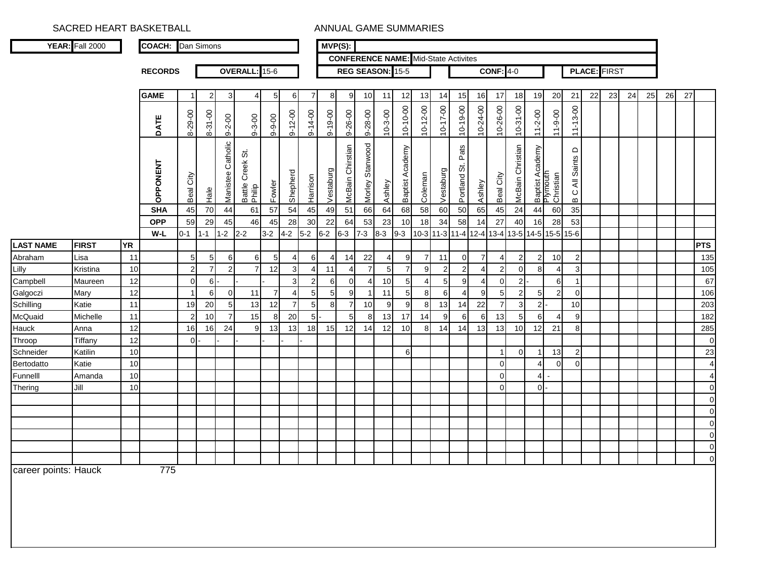|                      | <b>YEAR:</b> Fall 2000 |           | <b>COACH:</b> Dan Simons |                     |                                   |                      |                                |                      |                |                | $MVP(S)$ :     |                     |                      |                                  |                 |                     |                |                                             |                |                                  |                  |                |                                          |                                     |    |                     |    |    |    |    |                |
|----------------------|------------------------|-----------|--------------------------|---------------------|-----------------------------------|----------------------|--------------------------------|----------------------|----------------|----------------|----------------|---------------------|----------------------|----------------------------------|-----------------|---------------------|----------------|---------------------------------------------|----------------|----------------------------------|------------------|----------------|------------------------------------------|-------------------------------------|----|---------------------|----|----|----|----|----------------|
|                      |                        |           |                          |                     |                                   |                      |                                |                      |                |                |                |                     |                      |                                  |                 |                     |                | <b>CONFERENCE NAME:</b> Mid-State Activites |                |                                  |                  |                |                                          |                                     |    |                     |    |    |    |    |                |
|                      |                        |           | <b>RECORDS</b>           |                     |                                   |                      | OVERALL: 15-6                  |                      |                |                |                |                     | REG SEASON: 15-5     |                                  |                 |                     |                |                                             |                | $CONF: 4-0$                      |                  |                |                                          |                                     |    | <b>PLACE: FIRST</b> |    |    |    |    |                |
|                      |                        |           | <b>GAME</b>              | $\mathbf 1$         | $\overline{2}$                    | 3                    | $\overline{4}$                 | 5 <sub>l</sub>       | 6              | $\overline{7}$ | 8              | 9                   | 10                   | 11                               | 12              | 13                  | 14             | 15                                          | 16             | 17                               | 18               | 19             | 20                                       | 21                                  | 22 | 23                  | 24 | 25 | 26 | 27 |                |
|                      |                        |           |                          |                     |                                   |                      |                                |                      |                |                |                |                     |                      |                                  |                 |                     |                |                                             |                |                                  |                  |                |                                          |                                     |    |                     |    |    |    |    |                |
|                      |                        |           | DATE                     | 8-29-00             | 8-31-00                           | $9 - 2 - 00$         | $9 - 3 - 00$                   | $9 - 9 - 00$         | $9 - 12 - 00$  | $9 - 14 - 00$  | $9 - 19 - 00$  | $9 - 26 - 00$       | $9 - 28 - 00$        | $10 - 3 - 00$                    | $10 - 10 - 00$  | $10 - 12 - 00$      | 10-17-00       | 10-19-00                                    | 10-24-00       | 10-26-00                         | $10-31-00$       | $11 - 2 - 00$  | $11 - 9 - 00$                            | $11 - 13 - 00$                      |    |                     |    |    |    |    |                |
|                      |                        |           | OPPONENT                 | City<br>Beal        | Hale                              | Catholic<br>Manistee | ö<br>Creek<br>Battle<br>Philip | Fowler               | Shepherd       | Harrison       | Vestaburg      | Chirstian<br>McBain | Stanwood<br>Morley   | Ashley                           | Baptist Academy | Coleman             | Vestaburg      | Pats<br>ö<br>Portland                       | Ashley         | Beal City                        | McBain Christian |                | Baptist Academy<br>Plymouth<br>Christian | All Saints D<br>$\circ$<br>$\bf{m}$ |    |                     |    |    |    |    |                |
|                      |                        |           | <b>SHA</b>               | 45                  | 70                                | 44                   | 61                             | 57                   | 54             | 45             | 49             | 51                  | 66                   | 64                               | 68              | 58                  | 60             | 50                                          | 65             | 45                               | 24               | 44             | 60                                       | 35                                  |    |                     |    |    |    |    |                |
|                      |                        |           | <b>OPP</b>               | 59                  | 29                                | 45                   | 46                             | 45                   | 28             | 30             | 22             | 64                  | 53                   | 23                               | 10              | 18                  | 34             | 58                                          | 14             | 27                               | 40               | 16             | 28                                       | 53                                  |    |                     |    |    |    |    |                |
|                      |                        |           | W-L                      | $0 - 1$             | $1 - 1$                           | $1 - 2$              | $2-2$                          | $3-2$                | $4 - 2$        | $5-2$          | $6 - 2$        | $6 - 3$             | $7 - 3$              | $8 - 3$                          | $9 - 3$         |                     | 10-3 11-3 11-4 |                                             | $12 - 4$       | $13 - 4$                         | 13-5             | $14-5$         | $15 - 5$                                 | $15-6$                              |    |                     |    |    |    |    |                |
| <b>LAST NAME</b>     | <b>FIRST</b>           | <b>YR</b> |                          |                     |                                   |                      |                                |                      |                |                |                |                     |                      |                                  |                 |                     |                |                                             | $\overline{7}$ |                                  |                  |                |                                          |                                     |    |                     |    |    |    |    | <b>PTS</b>     |
| Abraham<br>Lilly     | Lisa<br>Kristina       | 11<br>10  |                          | 5<br>$\overline{2}$ | $5\phantom{.0}$<br>$\overline{7}$ | 6<br>$\overline{2}$  | 6<br>7                         | 5 <sub>5</sub><br>12 | 4<br>3         | 6<br>4         | 4<br>11        | 14<br>4             | 22<br>$\overline{7}$ | $\overline{4}$<br>5 <sub>l</sub> | 9<br>7          | $\overline{7}$<br>9 | 11<br>2        | $\overline{0}$<br>$\overline{2}$            |                | $\overline{4}$<br>$\overline{2}$ | 2<br>$\Omega$    | 2<br>8         | 10                                       | $\overline{2}$<br>3                 |    |                     |    |    |    |    | 135<br>105     |
| Campbell             | Maureen                | 12        |                          | $\mathbf 0$         | 6                                 |                      |                                |                      | 3              | $\overline{2}$ | 6              | $\overline{0}$      | 4                    | 10 <sup>1</sup>                  | 5 <sub>l</sub>  | 4                   | $5 \,$         | 9                                           |                | $\Omega$                         | 2                |                | 6                                        |                                     |    |                     |    |    |    |    | 67             |
| Galgoczi             | Mary                   | 12        |                          | $\mathbf 1$         | 6                                 | $\overline{0}$       | 11                             | $\overline{7}$       | 4              | 5 <sub>5</sub> | 5 <sub>l</sub> | 9 <sub>l</sub>      |                      | 11                               | 5 <sub>l</sub>  | 8                   | 6              | 4                                           | 9              | 5 <sub>l</sub>                   | 2                | $5 \,$         |                                          | $\Omega$                            |    |                     |    |    |    |    | 106            |
| Schilling            | Katie                  | 11        |                          | 19                  | 20                                | $\sqrt{5}$           | 13                             | 12                   | $\overline{7}$ | 5 <sup>1</sup> | 8              | $\overline{7}$      | 10                   | 9                                | 9               | 8                   | 13             | 14                                          | 22             | $\overline{7}$                   | З                | 2 <sub>l</sub> |                                          | 10                                  |    |                     |    |    |    |    | 203            |
| McQuaid              | Michelle               | 11        |                          | $\overline{2}$      | 10                                | $\overline{7}$       | 15                             | 8                    | 20             | 5 <sup>1</sup> |                | 5 <sup>1</sup>      | 8                    | 13                               | 17              | 14                  | 9              | 6                                           | 6              | 13                               | 5                | 6              |                                          | 9                                   |    |                     |    |    |    |    | 182            |
| Hauck                | Anna                   | 12        |                          | 16                  | 16                                | 24                   | 9                              | 13                   | 13             | 18             | 15             | 12                  | 14                   | 12                               | 10 <sup>1</sup> | 8 <sup>1</sup>      | 14             | 14                                          | 13             | 13                               | 10 <sup>1</sup>  | 12             | 21                                       | 8                                   |    |                     |    |    |    |    | 285            |
| Throop               | Tiffany                | 12        |                          | $\overline{0}$      |                                   |                      |                                |                      |                |                |                |                     |                      |                                  |                 |                     |                |                                             |                |                                  |                  |                |                                          |                                     |    |                     |    |    |    |    | $\pmb{0}$      |
| Schneider            | Katilin                | 10        |                          |                     |                                   |                      |                                |                      |                |                |                |                     |                      |                                  | 6               |                     |                |                                             |                |                                  | $\Omega$         |                | 13                                       | $\overline{2}$                      |    |                     |    |    |    |    | 23             |
| Bertodatto           | Katie                  | 10        |                          |                     |                                   |                      |                                |                      |                |                |                |                     |                      |                                  |                 |                     |                |                                             |                | $\overline{0}$                   |                  | 4              | $\Omega$                                 | $\Omega$                            |    |                     |    |    |    |    | $\overline{4}$ |
| Funnelll             | Amanda                 | 10        |                          |                     |                                   |                      |                                |                      |                |                |                |                     |                      |                                  |                 |                     |                |                                             |                | $\Omega$                         |                  | $\overline{4}$ |                                          |                                     |    |                     |    |    |    |    | $\overline{4}$ |
| Thering              | Jill                   | 10        |                          |                     |                                   |                      |                                |                      |                |                |                |                     |                      |                                  |                 |                     |                |                                             |                | $\Omega$                         |                  | $0 -$          |                                          |                                     |    |                     |    |    |    |    | $\mathbf 0$    |
|                      |                        |           |                          |                     |                                   |                      |                                |                      |                |                |                |                     |                      |                                  |                 |                     |                |                                             |                |                                  |                  |                |                                          |                                     |    |                     |    |    |    |    | $\mathbf 0$    |
|                      |                        |           |                          |                     |                                   |                      |                                |                      |                |                |                |                     |                      |                                  |                 |                     |                |                                             |                |                                  |                  |                |                                          |                                     |    |                     |    |    |    |    | $\mathbf 0$    |
|                      |                        |           |                          |                     |                                   |                      |                                |                      |                |                |                |                     |                      |                                  |                 |                     |                |                                             |                |                                  |                  |                |                                          |                                     |    |                     |    |    |    |    | $\pmb{0}$      |
|                      |                        |           |                          |                     |                                   |                      |                                |                      |                |                |                |                     |                      |                                  |                 |                     |                |                                             |                |                                  |                  |                |                                          |                                     |    |                     |    |    |    |    | $\pmb{0}$      |
|                      |                        |           |                          |                     |                                   |                      |                                |                      |                |                |                |                     |                      |                                  |                 |                     |                |                                             |                |                                  |                  |                |                                          |                                     |    |                     |    |    |    |    | $\pmb{0}$      |
|                      |                        |           |                          |                     |                                   |                      |                                |                      |                |                |                |                     |                      |                                  |                 |                     |                |                                             |                |                                  |                  |                |                                          |                                     |    |                     |    |    |    |    | $\pmb{0}$      |
| career points: Hauck |                        |           | 775                      |                     |                                   |                      |                                |                      |                |                |                |                     |                      |                                  |                 |                     |                |                                             |                |                                  |                  |                |                                          |                                     |    |                     |    |    |    |    |                |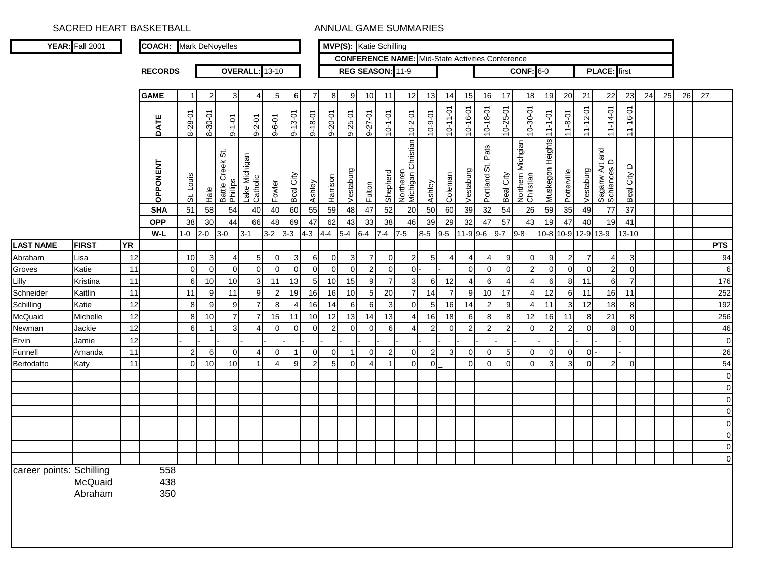|                          | YEAR: Fall 2001    |           | <b>COACH:</b> Mark DeNoyelles |                                  |                |                              |                           |                |                |                |                |                | MVP(S): Katie Schilling |                |                                                         |                |                |                |                         |                |                                       |                         |               |                |                               |                      |    |    |    |    |                  |
|--------------------------|--------------------|-----------|-------------------------------|----------------------------------|----------------|------------------------------|---------------------------|----------------|----------------|----------------|----------------|----------------|-------------------------|----------------|---------------------------------------------------------|----------------|----------------|----------------|-------------------------|----------------|---------------------------------------|-------------------------|---------------|----------------|-------------------------------|----------------------|----|----|----|----|------------------|
|                          |                    |           |                               |                                  |                |                              |                           |                |                |                |                |                |                         |                | <b>CONFERENCE NAME:</b> Mid-State Activities Conference |                |                |                |                         |                |                                       |                         |               |                |                               |                      |    |    |    |    |                  |
|                          |                    |           | <b>RECORDS</b>                |                                  |                |                              | <b>OVERALL:</b>           | $13 - 10$      |                |                |                |                | REG SEASON: 11-9        |                |                                                         |                |                |                |                         |                | <b>CONF: 6-0</b>                      |                         |               |                | <b>PLACE:</b> first           |                      |    |    |    |    |                  |
|                          |                    |           |                               |                                  |                |                              |                           |                |                |                |                |                |                         |                |                                                         |                |                |                |                         |                |                                       |                         |               |                |                               |                      |    |    |    |    |                  |
|                          |                    |           | <b>GAME</b>                   | 1                                | $\overline{2}$ | 3                            | 4                         | -5             | 6              | $\overline{7}$ | 8              | 9              | 10                      | 11             | 12                                                      | 13             | 14             | 15             | 16                      | 17             | 18                                    | 19                      | 20            | 21             | 22                            | 23                   | 24 | 25 | 26 | 27 |                  |
|                          |                    |           | DATE                          | 8-28-01                          | 8-30-01        | $9 - 1 - 01$                 | $9 - 2 - 01$              | $9 - 6 - 01$   | $9 - 13 - 01$  | $9 - 18 - 01$  | $9 - 20 - 01$  | $9 - 25 - 01$  | 9-27-01                 | $10 - 1 - 01$  | $10 - 2 - 01$                                           | $10 - 9 - 01$  | $10 - 11 - 01$ | 10-16-01       | 10-18-01                | 10-25-01       | 10-30-01                              | $11 - 1 - 01$           | $11 - 8 - 01$ | $11 - 12 - 01$ | $11 - 14 - 01$                | $11 - 16 - 01$       |    |    |    |    |                  |
|                          |                    |           | OPPONENT                      | Louis<br>$\ddot{\tilde{\sigma}}$ | $Ha$ e         | Battle Creek St.<br>Phillips | Lake Michigan<br>Catholic | Fowler         | Beal City      | Ashley         | Harrison       | Vestaburg      | Fulton                  | Shepherd       | Northeren<br>Michigan Christian <mark>1</mark>          | Ashley         | Coleman        | Vestaburg      | Pats<br>Portland St.    | Beal City      | Northern Michgian<br><b>Chirstian</b> | Muskegon Heights        | Potterville   | Vestaburg      | Saganw Art and<br>Schiences D | $\circ$<br>Beal City |    |    |    |    |                  |
|                          |                    |           | <b>SHA</b>                    | 51                               | 58             | 54                           | 40                        | 40             | 60             | 55             | 59             | 48             | $47\,$                  | 52             | 20                                                      | 50             | 60             | 39             | 32                      | 54             | 26                                    | 59                      | 35            | 49             | $77$                          | 37                   |    |    |    |    |                  |
|                          |                    |           | <b>OPP</b>                    | 38                               | 30             | 44                           | 66                        | 48             | 69             | 47             | 62             | 43             | 33                      | 38             | 46                                                      | 39             | 29             | 32             | 47                      | 57             | 43                                    | 19                      | 47            | 40             | 19                            | 41                   |    |    |    |    |                  |
|                          |                    |           | W-L                           | $1 - 0$                          | $2 - 0$        | $3-0$                        | $3 - 1$                   | $3-2$          | $3 - 3$        | $4-3$          | $4 - 4$        | $5-4$          | $6-4$                   | $7 - 4$        | $7-5$                                                   | $8-5$          | $9-5$          | $11-9$ 9-6     |                         | $9 - 7$        | $9 - 8$                               |                         |               |                | 10-8 10-9 12-9 13-9           | $13 - 10$            |    |    |    |    |                  |
| <b>LAST NAME</b>         | <b>FIRST</b>       | <b>YR</b> |                               |                                  |                |                              |                           |                |                |                |                |                |                         |                |                                                         |                |                |                |                         |                |                                       |                         |               |                |                               |                      |    |    |    |    | <b>PTS</b>       |
| Abraham                  | Lisa               | 12        |                               | 10 <sup>1</sup>                  | 3              |                              | 5                         | $\mathbf{0}$   | 3              | 6              | $\mathbf 0$    | 3              | $\overline{7}$          | $\Omega$       | $\overline{2}$                                          | 5              | $\overline{4}$ |                | 4                       | 9              | $\Omega$                              | 9                       |               |                | $\overline{4}$                | 3                    |    |    |    |    | 94               |
| Groves                   | Katie              | 11        |                               | $\overline{0}$                   | $\overline{0}$ | $\overline{0}$               | $\overline{0}$            | $\overline{0}$ | $\overline{0}$ | $\mathbf 0$    | $\mathbf 0$    | $\overline{0}$ | $2 \vert$               | $\Omega$       | $\overline{0}$                                          |                |                | $\mathbf 0$    | 0                       | $\mathbf{0}$   | $\overline{2}$                        | $\overline{0}$          | ∩             | $\Omega$       | $\overline{2}$                | $\mathbf 0$          |    |    |    |    | $\overline{6}$   |
| Lilly                    | Kristina           | 11        |                               | $6 \mid$                         | 10             | 10                           | 3 <sup>1</sup>            | 11             | 13             | 5              | 10             | 15             | 9                       | $\overline{7}$ | 3 <sup>l</sup>                                          | 6              | 12             | $\overline{4}$ | 6                       | 4              | 4                                     | 6                       | 8             | 11             | $6 \mid$                      | $\overline{7}$       |    |    |    |    | 176              |
| Schneider                | Kaitlin            | 11        |                               | 11                               | 9              | 11                           | 9 <sub>l</sub>            | $\overline{2}$ | 19             | 16             | 16             | 10             | 5 <sup>1</sup>          | 20             | 7                                                       | 14             | $\overline{7}$ | 9              | 10                      | 17             | 4                                     | 12                      | 6             | 11             | 16                            | 11                   |    |    |    |    | 252              |
| Schilling                | Katie              | 12        |                               | 8                                | 9              | 9                            | 7                         | -8             | $\overline{4}$ | 16             | 14             | 6              | 6                       | 3              | $\overline{0}$                                          | -5             | 16             | 14             | $\overline{\mathbf{c}}$ | 9              |                                       | 11                      |               | 12             | 18                            | 8                    |    |    |    |    | 192              |
| McQuaid                  | Michelle           | 12        |                               | 8                                | 10             | $\overline{7}$               | $\overline{7}$            | 15             | 11             | 10             | 12             | 13             | 14                      | 13             | $\overline{4}$                                          | 16             | 18             | 6              | 8                       | 8              | 12                                    | 16                      | 11            | 8              | 21                            | 8                    |    |    |    |    | 256              |
| Newman                   | Jackie             | 12        |                               | 6                                |                | 3                            | 4                         | $\Omega$       | $\Omega$       | $\mathbf 0$    | $\overline{2}$ | $\Omega$       | $\overline{0}$          | 6              | $\overline{4}$                                          | 2              | $\Omega$       | $\overline{2}$ | $\overline{2}$          | $\overline{a}$ | $\Omega$                              | $\overline{2}$          |               | $\Omega$       | 8                             | $\Omega$             |    |    |    |    | 46               |
| Ervin                    | Jamie              | 12        |                               |                                  |                |                              |                           |                |                |                |                |                |                         |                |                                                         |                |                |                |                         |                |                                       |                         |               |                |                               |                      |    |    |    |    | $\mathbf 0$      |
| Funnell                  | Amanda             | 11        |                               | $\overline{2}$                   | 6              | $\Omega$                     |                           | $\Omega$       |                | 0              | $\overline{0}$ |                | $\overline{0}$          | $\mathcal{P}$  | $\Omega$                                                | $\overline{2}$ | 3              | 0              | 0                       | 5              | 0                                     | $\Omega$                | ∩             | οI             |                               |                      |    |    |    |    | 26               |
| Bertodatto               | Katy               | 11        |                               | $\overline{0}$                   | 10             | 10                           |                           | 4              | 9              | $\overline{2}$ | 5              | $\Omega$       | $\overline{4}$          |                | $\Omega$                                                | $\Omega$       |                | 0              | $\mathbf 0$             | $\Omega$       | $\Omega$                              | $\overline{\mathbf{3}}$ | З             | $\Omega$       | $\overline{2}$                | $\Omega$             |    |    |    |    | 54               |
|                          |                    |           |                               |                                  |                |                              |                           |                |                |                |                |                |                         |                |                                                         |                |                |                |                         |                |                                       |                         |               |                |                               |                      |    |    |    |    | $\mathbf 0$      |
|                          |                    |           |                               |                                  |                |                              |                           |                |                |                |                |                |                         |                |                                                         |                |                |                |                         |                |                                       |                         |               |                |                               |                      |    |    |    |    | $\boldsymbol{0}$ |
|                          |                    |           |                               |                                  |                |                              |                           |                |                |                |                |                |                         |                |                                                         |                |                |                |                         |                |                                       |                         |               |                |                               |                      |    |    |    |    | $\mathbf 0$      |
|                          |                    |           |                               |                                  |                |                              |                           |                |                |                |                |                |                         |                |                                                         |                |                |                |                         |                |                                       |                         |               |                |                               |                      |    |    |    |    | $\mathbf 0$      |
|                          |                    |           |                               |                                  |                |                              |                           |                |                |                |                |                |                         |                |                                                         |                |                |                |                         |                |                                       |                         |               |                |                               |                      |    |    |    |    | $\mathbf 0$      |
|                          |                    |           |                               |                                  |                |                              |                           |                |                |                |                |                |                         |                |                                                         |                |                |                |                         |                |                                       |                         |               |                |                               |                      |    |    |    |    | $\mathbf 0$      |
|                          |                    |           |                               |                                  |                |                              |                           |                |                |                |                |                |                         |                |                                                         |                |                |                |                         |                |                                       |                         |               |                |                               |                      |    |    |    |    | $\mathbf 0$      |
|                          |                    |           |                               |                                  |                |                              |                           |                |                |                |                |                |                         |                |                                                         |                |                |                |                         |                |                                       |                         |               |                |                               |                      |    |    |    |    | $\overline{0}$   |
| career points: Schilling | McQuaid<br>Abraham |           | 558<br>438<br>350             |                                  |                |                              |                           |                |                |                |                |                |                         |                |                                                         |                |                |                |                         |                |                                       |                         |               |                |                               |                      |    |    |    |    |                  |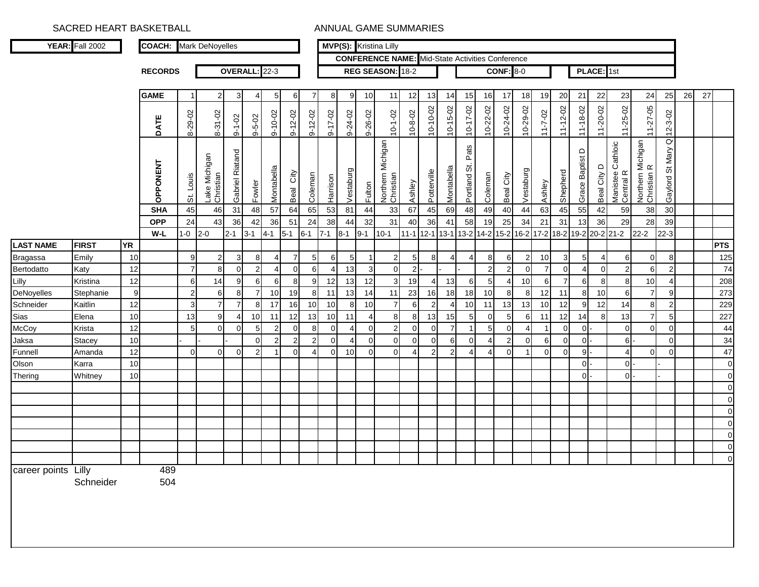|                     | <b>YEAR:</b> Fall 2002 |           | <b>COACH:</b> Mark DeNoyelles |                |                            |                    |                |                |                |                       |                 |                 |          | MVP(S): Kristina Lilly                                  |                |                |                |                       |                |                  |           |                |                |                 |                      |                                |                                  |                                   |    |    |            |
|---------------------|------------------------|-----------|-------------------------------|----------------|----------------------------|--------------------|----------------|----------------|----------------|-----------------------|-----------------|-----------------|----------|---------------------------------------------------------|----------------|----------------|----------------|-----------------------|----------------|------------------|-----------|----------------|----------------|-----------------|----------------------|--------------------------------|----------------------------------|-----------------------------------|----|----|------------|
|                     |                        |           |                               |                |                            |                    |                |                |                |                       |                 |                 |          | <b>CONFERENCE NAME:</b> Mid-State Activities Conference |                |                |                |                       |                |                  |           |                |                |                 |                      |                                |                                  |                                   |    |    |            |
|                     |                        |           | <b>RECORDS</b>                |                |                            |                    | OVERALL: 22-3  |                |                |                       |                 |                 |          | REG SEASON: 18-2                                        |                |                |                |                       |                | <b>CONF: 8-0</b> |           |                |                |                 | PLACE: 1st           |                                |                                  |                                   |    |    |            |
|                     |                        |           | <b>GAME</b>                   | -1             | $\overline{2}$             | 3                  | $\overline{4}$ | $5 \,$         | 6              | $\overline{7}$        | 8               | 9               | 10       | 11                                                      | 12             | 13             | 14             | 15                    | 16             | 17               | 18        | 19             | 20             | 21              | 22                   | 23                             | 24                               | 25                                | 26 | 27 |            |
|                     |                        |           | ш<br><b>DATI</b>              | 8-29-02        | 8-31-02                    | $9 - 1 - 02$       | $9 - 5 - 02$   | $9 - 10 - 02$  | $9 - 12 - 02$  | $9 - 12 - 02$         | $9 - 17 - 02$   | 9-24-02         | 9-26-02  | $10 - 1 - 02$                                           | $10 - 8 - 02$  | $10 - 10 - 02$ | $10 - 15 - 02$ | $10 - 17 - 02$        | 10-22-02       | 10-24-02         | 10-29-02  | $11 - 7 - 02$  | $11 - 12 - 02$ | $11 - 18 - 02$  | $11 - 20 - 02$       | $11 - 25 - 02$                 | $11 - 27 - 05$                   | $12 - 3 - 02$                     |    |    |            |
|                     |                        |           | OPPONENT                      | St. Louis      | Lake Michigan<br>Christian | Riatand<br>Gabriel | Fowler         | Montabella     | City<br>Beal   | Coleman               | Harrison        | Vestaburg       | Fulton   | Northern Michigan<br>Christian                          | Ashley         | Potterville    | Montabella     | Pats<br>5<br>Portland | Coleman        | Beal City        | Vestaburg | Ashley         | Shepherd       | Grace Baptist D | $\circ$<br>Beal City | Manistee Cathloic<br>Central R | Northern Michigan<br>Christian R | $\overline{a}$<br>Gaylord St Mary |    |    |            |
|                     |                        |           | <b>SHA</b>                    | 45             | 46                         | 31                 | 48             | 57             | 64             | 65                    | 53              | 81              | 44       | 33                                                      | 67             | 45             | 69             | 48                    | 49             | 40               | 44        | 63             | 45             | 55              | 42                   | 59                             | 38                               | 30                                |    |    |            |
|                     |                        |           | <b>OPP</b>                    | 24             | 43                         | 36                 | 42             | 36             | 51             | 24                    | 38              | 44              | 32       | 31                                                      | 40             | 36             | 41             | 58                    | 19             | 25               | 34        | 21             | 31             | 13              | 36                   | 29                             | 28                               | 39                                |    |    |            |
|                     |                        |           | W-L                           | $1 - 0$        | $2 - 0$                    | $2 - 1$            | $3 - 1$        | $4 - 1$        | $5 - 1$        | $6 - 1$               | $7 - 1$         | $8 - 1$         | $9 - 1$  | $10 - 1$                                                | $11 - 1$       | $12 - 1$       | $13 - 1$       | $13 - 2$              | $14 - 2$       | $15 - 2$         | $16 - 2$  | $17 - 2$       | $18 - 2$       |                 |                      | 19-2 20-2 21-2                 | $22 - 2$                         | $22 - 3$                          |    |    |            |
| <b>LAST NAME</b>    | <b>FIRST</b>           | <b>YR</b> |                               |                |                            |                    |                |                |                |                       |                 |                 |          |                                                         |                |                |                |                       |                |                  |           |                |                |                 |                      |                                |                                  |                                   |    |    | <b>PTS</b> |
| <b>Bragassa</b>     | Emily                  | 10        |                               | 9 <sub>l</sub> | $\overline{2}$             | 3                  | 8              | $\overline{4}$ | $\overline{7}$ | 5                     | 6               | 5 <sub>5</sub>  |          | $\overline{2}$                                          | 5 <sub>l</sub> | 8              | $\overline{4}$ | 4                     | 8              | 6                | 2         | 10             | 3              | $5\phantom{.0}$ | 4                    | 6                              | $\overline{0}$                   | 8                                 |    |    | 125        |
| Bertodatto          | Katy                   | 12        |                               | $\overline{7}$ | 8                          | $\overline{0}$     | 2              | $\overline{4}$ | 0              | 6                     | 4               | 13              | 3        | $\overline{0}$                                          | $\overline{2}$ |                |                |                       | 2              | $\overline{2}$   | $\Omega$  | $\overline{7}$ | $\overline{0}$ | 4               | $\overline{0}$       | $\overline{2}$                 | 6                                | 2                                 |    |    | 74         |
| Lilly               | Kristina               | 12        |                               | 6              | 14                         | 9                  | 6              | 6              | 8              | 9                     | 12              | 13              | 12       | $\overline{3}$                                          | 19             | 4              | 13             | 6                     | 5              |                  | 10        | 6              | $\overline{7}$ | 6               | 8                    | 8                              | 10                               |                                   |    |    | 208        |
| DeNoyelles          | Stephanie              | 9         |                               | $\overline{2}$ | 6                          | 8                  | $\overline{7}$ | 10             | 19             | 8                     | 11              | 13              | 14       | 11                                                      | 23             | 16             | 18             | 18                    | 10             | 8 <sup>1</sup>   | 8         | 12             | 11             | 8               | 10                   | 6                              | $\overline{7}$                   | 9                                 |    |    | 273        |
| Schneider           | Kaitlin                | 12        |                               | 3              | $\overline{7}$             | $\overline{7}$     | 8              | 17             | 16             | 10                    | 10 <sup>1</sup> | 8               | 10       | $\overline{7}$                                          | 6              | $\overline{2}$ | $\overline{4}$ | 10                    | 11             | 13               | 13        | 10             | 12             | 9               | 12                   | 14                             | 8                                | $2 \overline{2}$                  |    |    | 229        |
| Sias                | Elena                  | 10        |                               | 13             | 9                          | 4                  | 10             | 11             | 12             | 13                    | 10              | 11              | Δ        | 8                                                       | 8              | 13             | 15             | 5 <sub>5</sub>        | $\overline{0}$ | 5 <sub>l</sub>   | 6         | 11             | 12             | 14              | 8                    | 13                             | $\overline{7}$                   | 5 <sub>5</sub>                    |    |    | 227        |
| McCoy               | Krista                 | 12        |                               | 5              | $\overline{0}$             | $\Omega$           | 5              | $\overline{a}$ | 0              | 8                     | $\mathbf 0$     | 4               | $\Omega$ | $\mathbf{2}$                                            | $\overline{0}$ | $\Omega$       | $\overline{7}$ | 1                     | 5 <sup>5</sup> | $\Omega$         |           |                | $\Omega$       | $\overline{0}$  |                      | $\overline{0}$                 | $\overline{0}$                   | $\Omega$                          |    |    | 44         |
| Jaksa               | <b>Stacey</b>          | 10        |                               |                |                            |                    | $\Omega$       | $\overline{2}$ | $\overline{2}$ | $\overline{2}$        | $\overline{0}$  | 4               | $\Omega$ | $\overline{0}$                                          | $\overline{0}$ | $\Omega$       | 6              | 0                     | 4              | $\overline{2}$   | $\Omega$  | 6              | $\mathbf 0$    | $\mathbf 0$     |                      | 6I                             |                                  | $\overline{0}$                    |    |    | 34         |
| Funnell             | Amanda                 | 12        |                               | $\Omega$       | $\mathbf 0$                | $\overline{0}$     | $\overline{2}$ | -1             | $\Omega$       | $\boldsymbol{\Delta}$ | $\overline{0}$  | 10 <sup>1</sup> | $\Omega$ | $\Omega$                                                | 4              | $\overline{2}$ | $\overline{2}$ | 4                     | 4              | $\Omega$         |           | $\Omega$       | $\Omega$       | 9               |                      | $\overline{4}$                 | $\overline{0}$                   | $\Omega$                          |    |    | 47         |
| Olson               | Karra                  | 10        |                               |                |                            |                    |                |                |                |                       |                 |                 |          |                                                         |                |                |                |                       |                |                  |           |                |                | $\overline{0}$  |                      | 0I                             |                                  |                                   |    |    |            |
| Thering             | Whitney                | 10        |                               |                |                            |                    |                |                |                |                       |                 |                 |          |                                                         |                |                |                |                       |                |                  |           |                |                | $\overline{0}$  |                      | 0I                             |                                  |                                   |    |    |            |
|                     |                        |           |                               |                |                            |                    |                |                |                |                       |                 |                 |          |                                                         |                |                |                |                       |                |                  |           |                |                |                 |                      |                                |                                  |                                   |    |    |            |
|                     |                        |           |                               |                |                            |                    |                |                |                |                       |                 |                 |          |                                                         |                |                |                |                       |                |                  |           |                |                |                 |                      |                                |                                  |                                   |    |    |            |
|                     |                        |           |                               |                |                            |                    |                |                |                |                       |                 |                 |          |                                                         |                |                |                |                       |                |                  |           |                |                |                 |                      |                                |                                  |                                   |    |    |            |
|                     |                        |           |                               |                |                            |                    |                |                |                |                       |                 |                 |          |                                                         |                |                |                |                       |                |                  |           |                |                |                 |                      |                                |                                  |                                   |    |    |            |
|                     |                        |           |                               |                |                            |                    |                |                |                |                       |                 |                 |          |                                                         |                |                |                |                       |                |                  |           |                |                |                 |                      |                                |                                  |                                   |    |    | $\Omega$   |
|                     |                        |           |                               |                |                            |                    |                |                |                |                       |                 |                 |          |                                                         |                |                |                |                       |                |                  |           |                |                |                 |                      |                                |                                  |                                   |    |    | $\Omega$   |
| career points Lilly | Schneider              |           | 489<br>504                    |                |                            |                    |                |                |                |                       |                 |                 |          |                                                         |                |                |                |                       |                |                  |           |                |                |                 |                      |                                |                                  |                                   |    |    |            |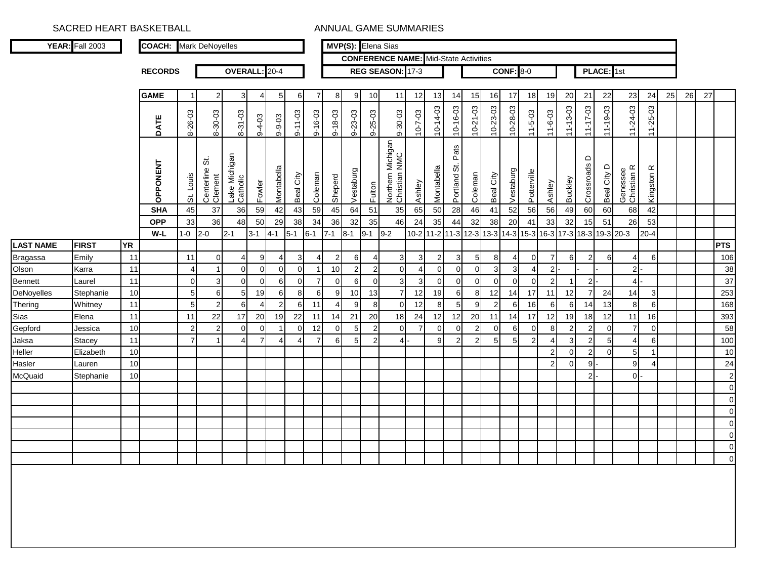|                  | <b>YEAR:</b> Fall 2003 |           | <b>COACH:</b> Mark DeNoyelles |                |                             |                                  |                |              |               |                |                |                |                 | MVP(S): Elena Sias                           |                |                          |                       |                |                |                  |                |                |                         |                        |                |                         |                         |    |    |    |               |
|------------------|------------------------|-----------|-------------------------------|----------------|-----------------------------|----------------------------------|----------------|--------------|---------------|----------------|----------------|----------------|-----------------|----------------------------------------------|----------------|--------------------------|-----------------------|----------------|----------------|------------------|----------------|----------------|-------------------------|------------------------|----------------|-------------------------|-------------------------|----|----|----|---------------|
|                  |                        |           |                               |                |                             |                                  |                |              |               |                |                |                |                 | <b>CONFERENCE NAME:</b> Mid-State Activities |                |                          |                       |                |                |                  |                |                |                         |                        |                |                         |                         |    |    |    |               |
|                  |                        |           | <b>RECORDS</b>                |                |                             | OVERALL: 20-4                    |                |              |               |                |                |                |                 | REG SEASON: 17-3                             |                |                          |                       |                |                | <b>CONF: 8-0</b> |                |                |                         |                        | PLACE: 1st     |                         |                         |    |    |    |               |
|                  |                        |           | <b>GAME</b>                   |                | $\overline{a}$              | 3 <sup>1</sup>                   | $\overline{4}$ | 5            | 61            | $\overline{7}$ | 8              | 9              | 10 <sup>1</sup> | 11                                           | 12             | 13                       | 14                    | 15             | 16             | 17               | 18             | 19             | 20                      | 21                     | 22             | 23                      | 24                      | 25 | 26 | 27 |               |
|                  |                        |           | DATE                          | 8-26-03        | 8-30-03                     | 8-31-03                          | $9 - 4 - 03$   | $9 - 9 - 03$ | $9 - 11 - 03$ | $9 - 16 - 03$  | $9 - 18 - 03$  | $9 - 23 - 03$  | $9 - 25 - 03$   | 9-30-03                                      | $10 - 7 - 03$  | $10 - 14 - 03$           | $10 - 16 - 03$        | $10 - 21 - 03$ | 10-23-03       | $10 - 28 - 03$   | $11 - 5 - 03$  | $11 - 6 - 03$  | $11 - 13 - 03$          | $11 - 17 - 03$         | $11 - 19 - 03$ | $11 - 24 - 03$          | $11 - 25 - 03$          |    |    |    |               |
|                  |                        |           | OPPONENT                      | St. Louis      | ö<br>Centerline:<br>Clement | Michigan<br>Lake Mic<br>Catholic | Fowler         | Montabella   | Beal City     | Coleman        | Sheperd        | Vestaburg      | Fulton          | Northern Michigan<br>Christian NMC           | Ashley         | Montabella               | Pats<br>ö<br>Portland | Coleman        | Beal City      | Vestaburg        | Potterville    | Ashley         | <b>Buckley</b>          | $\Omega$<br>Crossroads | Beal City D    | Genessee<br>Christian R | $\propto$<br>Kingston I |    |    |    |               |
|                  |                        |           | <b>SHA</b>                    | 45             | 37                          | 36                               | 59             | 42           | 43            | 59             | 45             | 64             | 51              | 35                                           | 65             | 50                       | 28                    | 46             | 41             | 52               | 56             | 56             | 49                      | 60                     | 60             | 68                      | 42                      |    |    |    |               |
|                  |                        |           | <b>OPP</b>                    | 33             | 36                          | 48                               | 50             | 29           | 38            | 34             | 36             | 32             | 35              | 46                                           | 24             | 35                       | 44                    | 32             | 38             | 20               | 41             | 33             | 32                      | 15                     | 51             | 26                      | 53                      |    |    |    |               |
|                  |                        |           | W-L                           | $1 - 0$        | $2 - 0$                     | $2 - 1$                          | $3 - 1$        | $4 - 1$      | $5 - 1$       | $6 - 1$        | $7 - 1$        | $8 - 1$        | $9 - 1$         | $9 - 2$                                      | $10 - 2$       | 11-2 11-3 12-3 13-3 14-3 |                       |                |                |                  | 15-3 16-3 17-3 |                |                         |                        | 18-3 19-3 20-3 |                         | $20 - 4$                |    |    |    |               |
| <b>LAST NAME</b> | <b>FIRST</b>           | <b>YR</b> |                               |                |                             |                                  |                |              |               |                |                |                |                 |                                              |                |                          |                       |                |                |                  |                |                |                         |                        |                |                         |                         |    |    |    | <b>PTS</b>    |
| <b>Bragassa</b>  | Emily                  | 11        |                               | 11             | 0                           | 4                                | 9              |              | 3             | $\angle$       | $\overline{2}$ | 6              | 4               | 3                                            | 3              | $\overline{2}$           | 3                     | 5 <sub>l</sub> | 8              | 4                | $\mathbf 0$    | $\overline{7}$ | 6                       | $\overline{2}$         | 6              | 4                       | 6                       |    |    |    | 106           |
| Olson            | Karra                  | 11        |                               |                | $\overline{1}$              | $\overline{0}$                   | $\overline{0}$ | $\Omega$     | $\Omega$      |                | 10             | $\overline{c}$ | $\overline{2}$  | $\overline{0}$                               | $\overline{4}$ | $\mathbf 0$              | $\overline{0}$        | $\Omega$       | 3              | 3                | $\overline{4}$ | $\overline{2}$ |                         |                        |                | $\overline{2}$          |                         |    |    |    | 38            |
| <b>Bennett</b>   | Laurel                 | 11        |                               | $\Omega$       | 3                           | $\overline{0}$                   | $\Omega$       | $6 \mid$     | $\Omega$      | 7              | $\overline{0}$ | 6              | $\overline{0}$  | $\overline{3}$                               | 3              | $\mathbf 0$              | $\Omega$              | $\Omega$       | $\Omega$       | $\Omega$         | $\Omega$       | $\overline{2}$ | -1                      | $2\vert$               |                | $\overline{4}$          |                         |    |    |    | 37            |
| DeNoyelles       | Stephanie              | 10        |                               | 5              | 6                           | 5                                | 19             | 6            | 8             | 6              | 9              | $10$           | 13              | $\overline{7}$                               | 12             | 19                       | 6                     | 8              | 12             | 14               | 17             | 11             | 12                      | $\overline{7}$         | 24             | 14                      | 3                       |    |    |    | 253           |
| Thering          | Whitney                | 11        |                               | 5              | $\overline{c}$              | 6                                | 4              | 2            | 6             | 11             | $\overline{4}$ | 9              | 8               | 0                                            | 12             | 8                        | 5 <sub>l</sub>        | 9 <sub>l</sub> | $\overline{2}$ | 6                | 16             | 6              | 6                       | 14                     | 13             | 8                       | 6                       |    |    |    | 168           |
| Sias             | Elena                  | 11        |                               | 11             | 22                          | 17                               | 20             | 19           | 22            | 11             | 14             | 21             | 20              | 18                                           | 24             | 12                       | 12                    | 20             | 11             | 14               | 17             | 12             | 19                      | 18                     | 12             | 11                      | 16                      |    |    |    | 393           |
| Gepford          | Jessica                | 10        |                               | $\mathcal{P}$  | $\overline{2}$              | $\mathbf 0$                      | $\Omega$       |              | $\Omega$      | 12             | $\mathbf 0$    | 5              | $\overline{2}$  | $\mathbf 0$                                  | 7              | $\overline{0}$           | $\Omega$              | $\overline{2}$ | $\Omega$       | 6                | $\mathbf 0$    | 8              | $\overline{\mathbf{c}}$ | $\mathbf{2}$           | $\Omega$       | $\overline{7}$          | $\overline{0}$          |    |    |    | 58            |
| Jaksa            | Stacey                 | 11        |                               | $\overline{7}$ | 1                           | 4                                | $\overline{7}$ |              |               | -7             | 6              | 5              | $\overline{2}$  | $\overline{4}$                               |                | 9                        | $\overline{2}$        | $\overline{2}$ | 5              | 5                | $\overline{2}$ | $\overline{4}$ | 3                       | $\mathbf{2}$           | 5              | $\overline{4}$          | 6                       |    |    |    | 100           |
| Heller           | Elizabeth              | 10        |                               |                |                             |                                  |                |              |               |                |                |                |                 |                                              |                |                          |                       |                |                |                  |                | $\overline{2}$ | 0                       | $\mathbf{2}$           | $\Omega$       | 5 <sub>l</sub>          |                         |    |    |    | 10            |
| Hasler           | Lauren                 | 10        |                               |                |                             |                                  |                |              |               |                |                |                |                 |                                              |                |                          |                       |                |                |                  |                | $\overline{2}$ | 0                       | 9                      |                | 9                       | 4                       |    |    |    | 24            |
| McQuaid          | Stephanie              | 10        |                               |                |                             |                                  |                |              |               |                |                |                |                 |                                              |                |                          |                       |                |                |                  |                |                |                         | 2 <sub>l</sub>         |                | οI                      |                         |    |    |    | $\sqrt{2}$    |
|                  |                        |           |                               |                |                             |                                  |                |              |               |                |                |                |                 |                                              |                |                          |                       |                |                |                  |                |                |                         |                        |                |                         |                         |    |    |    | $\mathbf 0$   |
|                  |                        |           |                               |                |                             |                                  |                |              |               |                |                |                |                 |                                              |                |                          |                       |                |                |                  |                |                |                         |                        |                |                         |                         |    |    |    | 0             |
|                  |                        |           |                               |                |                             |                                  |                |              |               |                |                |                |                 |                                              |                |                          |                       |                |                |                  |                |                |                         |                        |                |                         |                         |    |    |    | $\Omega$      |
|                  |                        |           |                               |                |                             |                                  |                |              |               |                |                |                |                 |                                              |                |                          |                       |                |                |                  |                |                |                         |                        |                |                         |                         |    |    |    | $\mathbf 0$   |
|                  |                        |           |                               |                |                             |                                  |                |              |               |                |                |                |                 |                                              |                |                          |                       |                |                |                  |                |                |                         |                        |                |                         |                         |    |    |    | 0             |
|                  |                        |           |                               |                |                             |                                  |                |              |               |                |                |                |                 |                                              |                |                          |                       |                |                |                  |                |                |                         |                        |                |                         |                         |    |    |    | 0<br>$\Omega$ |
|                  |                        |           |                               |                |                             |                                  |                |              |               |                |                |                |                 |                                              |                |                          |                       |                |                |                  |                |                |                         |                        |                |                         |                         |    |    |    |               |
|                  |                        |           |                               |                |                             |                                  |                |              |               |                |                |                |                 |                                              |                |                          |                       |                |                |                  |                |                |                         |                        |                |                         |                         |    |    |    |               |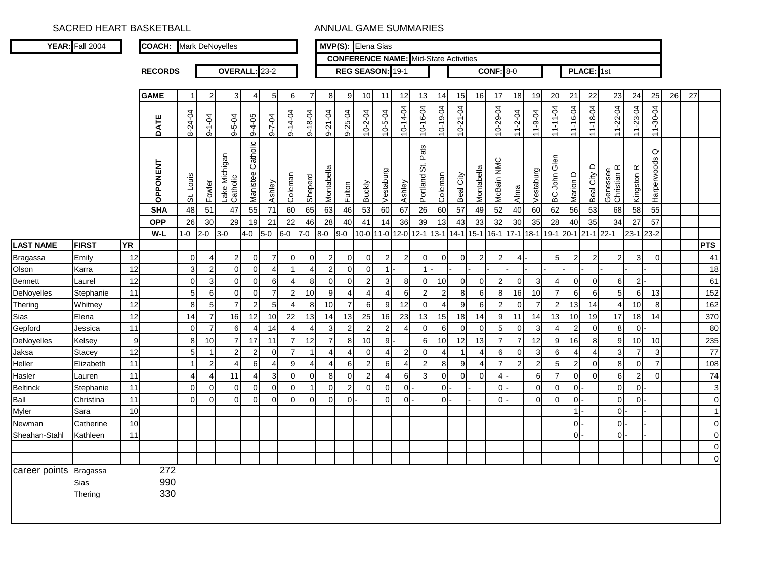|                        | <b>YEAR:</b> Fall 2004 |                  | <b>COACH:</b> Mark DeNoyelles        |                       |                    |                                       |                               |                         |                     |                     |                        |                    | MVP(S): Elena Sias        |                         |                    |                                  |                          |                                              |                        |                        |                  |                       |                                                           |                                |                            |                                     |                                   |                                    |    |    |                 |
|------------------------|------------------------|------------------|--------------------------------------|-----------------------|--------------------|---------------------------------------|-------------------------------|-------------------------|---------------------|---------------------|------------------------|--------------------|---------------------------|-------------------------|--------------------|----------------------------------|--------------------------|----------------------------------------------|------------------------|------------------------|------------------|-----------------------|-----------------------------------------------------------|--------------------------------|----------------------------|-------------------------------------|-----------------------------------|------------------------------------|----|----|-----------------|
|                        |                        |                  |                                      |                       |                    |                                       |                               |                         |                     |                     |                        |                    |                           |                         |                    |                                  |                          | <b>CONFERENCE NAME:</b> Mid-State Activities |                        |                        |                  |                       |                                                           |                                |                            |                                     |                                   |                                    |    |    |                 |
|                        |                        |                  | <b>RECORDS</b>                       |                       |                    | OVERALL: 23-2                         |                               |                         |                     |                     |                        |                    | REG SEASON: 19-1          |                         |                    |                                  |                          |                                              |                        | <b>CONF: 8-0</b>       |                  |                       |                                                           |                                | PLACE: 1st                 |                                     |                                   |                                    |    |    |                 |
|                        |                        |                  | <b>GAME</b>                          | -1                    | $\mathcal{P}$      | 3                                     | 4                             | 5                       | 6                   | $\overline{7}$      | 8                      | 9 <sup>1</sup>     | 10                        | 11                      | 12                 | 13                               | 14                       | 15                                           | 16                     | 17                     | 18               | 19                    | 20                                                        | 21                             | 22                         | 23                                  | 24                                | 25                                 | 26 | 27 |                 |
|                        |                        |                  |                                      |                       |                    |                                       |                               |                         |                     |                     |                        |                    |                           |                         |                    |                                  |                          |                                              |                        |                        |                  |                       |                                                           |                                |                            |                                     |                                   |                                    |    |    |                 |
|                        |                        |                  | <b>DATE</b>                          | 8-24-04               | $9 - 1 - 04$       | $9 - 5 - 04$                          | $9 - 4 - 05$                  | $9 - 7 - 04$            | $9 - 14 - 04$       | $9 - 18 - 04$       | 9-21-04                | 9-25-04            | $10 - 2 - 04$             | $10 - 5 - 04$           | 10-14-04           | 10-16-04                         | $10-19-04$               | $10 - 21 - 04$                               |                        | 10-29-04               | $11 - 2 - 04$    | $11 - 9 - 04$         | 11-11-04                                                  | 11-16-04                       | 11-18-04                   | $11 - 22 - 04$                      | 11-23-04                          | 11-30-04                           |    |    |                 |
|                        |                        |                  | OPPONENT<br><b>SHA</b><br><b>OPP</b> | St. Louis<br>48<br>26 | Fowler<br>51<br>30 | Lake Michigan<br>Catholic<br>47<br>29 | Manistee Catholic<br>55<br>19 | Ashley<br>71<br>21      | Coleman<br>60<br>22 | Sheperd<br>65<br>46 | Montabella<br>63<br>28 | Fulton<br>46<br>40 | <b>Buckly</b><br>53<br>41 | Vestaburg<br>60<br>14   | Ashley<br>67<br>36 | Pats<br>Portland St.<br>26<br>39 | Coleman<br>60<br>13      | Beal City<br>57<br>43                        | Montabella<br>49<br>33 | McBain NMC<br>52<br>32 | Alma<br>40<br>30 | Vestaburg<br>60<br>35 | $\epsilon$<br>ত<br>$\frac{1}{2}$<br><b>BC</b><br>62<br>28 | $\Omega$<br>Marion<br>56<br>40 | City D<br>Beal<br>53<br>35 | Genessee<br>Christian R<br>68<br>34 | Kingston <sub>R</sub><br>58<br>27 | $\circ$<br>Harperwoods<br>55<br>57 |    |    |                 |
|                        |                        |                  | $W-L$                                | $1 - 0$               | $2 - 0$            | $3-0$                                 | $4-0$                         | $5-0$                   | $6-0$               | 7-0                 | $8-0$                  | $9-0$              |                           | 10-0 11-0 12-0 12-1     |                    |                                  | $13 - 1$                 | $14 - 1$                                     | $15 - 1$               | $16 - 1$               | $17 - 1$         | $18-1$                | 19-1 20-1                                                 |                                | $21 - 1$                   | $22 - 1$                            | 23-1 23-2                         |                                    |    |    |                 |
| <b>LAST NAME</b>       | <b>FIRST</b>           | <b>YR</b>        |                                      |                       |                    |                                       |                               |                         |                     |                     |                        |                    |                           |                         |                    |                                  |                          |                                              |                        |                        |                  |                       |                                                           |                                |                            |                                     |                                   |                                    |    |    | <b>PTS</b>      |
| <b>Bragassa</b>        | Emily                  | 12               |                                      | $\mathbf 0$           | 4                  | $\overline{2}$                        | $\mathbf 0$                   | $\overline{7}$          | $\overline{0}$      | $\mathbf 0$         | $\overline{2}$         | $\overline{0}$     | $\overline{0}$            | $\overline{2}$          | $\overline{2}$     | $\overline{0}$                   | $\overline{0}$           | $\mathbf 0$                                  | $\overline{2}$         | $\overline{2}$         | 4                |                       | 5                                                         | $\overline{2}$                 | $\overline{2}$             | $\overline{2}$                      | 3                                 | $\Omega$                           |    |    | 41              |
| Olson                  | Karra                  | 12               |                                      | 3                     | $\overline{2}$     | $\mathbf 0$                           | $\mathbf 0$                   | $\overline{4}$          | $\overline{1}$      | $\overline{4}$      | $\overline{2}$         | $\mathbf 0$        | $\mathbf 0$               | $\mathbf{1}$            |                    | $\mathbf{1}$                     |                          |                                              |                        |                        |                  |                       |                                                           |                                |                            |                                     |                                   |                                    |    |    | 18              |
| Bennett                | Laurel                 | 12               |                                      | $\mathsf{O}\xspace$   | $\mathbf{3}$       | $\mathbf 0$                           | $\mathbf 0$                   | 6                       | $\overline{4}$      | 8                   | $\mathbf 0$            | $\overline{0}$     | $\overline{2}$            | $\overline{3}$          | 8 <sup>1</sup>     | $\overline{0}$                   | 10                       | $\mathbf 0$                                  | $\mathbf 0$            | $\overline{2}$         | $\mathbf{0}$     | $\mathbf{3}$          | 4                                                         | $\overline{0}$                 | $\overline{0}$             | 6                                   | $\overline{2}$                    |                                    |    |    | 61              |
| <b>DeNoyelles</b>      | Stephanie              | 11               |                                      | $\sqrt{5}$            | $\,6$              | $\mathbf 0$                           | $\mathbf 0$                   | $\overline{\mathbf{7}}$ | $\sqrt{2}$          | 10                  | $9$                    | $\overline{4}$     | $\overline{4}$            | $\overline{4}$          | 6                  | $\overline{2}$                   | $\overline{c}$           | $\,8\,$                                      | $6\phantom{1}6$        | $\boldsymbol{8}$       | 16               | 10                    | $\overline{7}$                                            | 6                              | 6                          | $\mathbf 5$                         | 6                                 | 13                                 |    |    | 152             |
| Thering                | Whitney                | 12               |                                      | $\bf8$                | $\sqrt{5}$         | $\overline{7}$                        | $\overline{c}$                | $\sqrt{5}$              | 4                   | $\boldsymbol{8}$    | 10                     | $\overline{7}$     | $6 \overline{6}$          | $9\,$                   | 12                 | $\overline{0}$                   | $\overline{\mathcal{L}}$ | $\boldsymbol{9}$                             | 6                      | $\mathbf{2}$           | $\pmb{0}$        | $\overline{7}$        | $\overline{2}$                                            | 13                             | 14                         | $\overline{4}$                      | 10                                | $\boldsymbol{8}$                   |    |    | 162             |
| Sias                   | Elena                  | 12               |                                      | 14                    | $\boldsymbol{7}$   | 16                                    | 12                            | 10                      | 22                  | 13                  | 14                     | 13                 | 25                        | 16                      | 23                 | 13                               | 15                       | 18                                           | 14                     | $9\,$                  | 11               | 14                    | 13                                                        | 10                             | 19                         | 17                                  | 18                                | 14                                 |    |    | 370             |
| Gepford                | Jessica                | 11               |                                      | $\mathbf 0$           | $\overline{7}$     | $6\phantom{1}6$                       | $\overline{4}$                | 14                      | $\overline{4}$      | $\overline{4}$      | $\mathbf{3}$           | $\overline{2}$     | $\overline{2}$            | $\overline{2}$          | $\overline{4}$     | $\overline{0}$                   | 6                        | $\mathbf 0$                                  | $\overline{0}$         | 5 <sup>1</sup>         | $\mathbf 0$      | 3                     | 4                                                         | $\overline{2}$                 | $\overline{0}$             | 8                                   | $\overline{0}$                    |                                    |    |    | 80              |
| DeNoyelles             | Kelsey                 | $\boldsymbol{9}$ |                                      | 8                     | 10                 | $\overline{7}$                        | 17                            | 11                      | $\overline{7}$      | 12                  | $\overline{7}$         | 8                  | 10                        | 9                       |                    | $6 \overline{6}$                 | 10                       | 12                                           | 13                     | $\overline{7}$         | $\overline{7}$   | 12                    | 9                                                         | 16                             | 8 <sup>1</sup>             | 9                                   | 10                                | 10                                 |    |    | 235             |
| Jaksa                  | <b>Stacey</b>          | 12               |                                      | $\overline{5}$        | $\mathbf{1}$       | $\overline{c}$                        | $\boldsymbol{2}$              | $\pmb{0}$               | $\overline{7}$      | $\overline{1}$      | $\overline{4}$         | $\overline{4}$     | $\mathbf{0}$              | $\overline{4}$          | $\overline{2}$     | $\overline{0}$                   | $\overline{4}$           |                                              | $\overline{4}$         | $6 \mid$               | $\pmb{0}$        | 3                     | 6                                                         | $\overline{4}$                 | $\overline{4}$             | $\mathsf 3$                         | $\boldsymbol{7}$                  | $\mathbf{3}$                       |    |    | $\overline{77}$ |
| Heller                 | Elizabeth              | 11               |                                      | $\mathbf{1}$          | $\overline{c}$     | $\overline{4}$                        | 6                             | $\overline{4}$          | 9                   | $\overline{4}$      | $\overline{4}$         | 6                  | $\overline{2}$            | 6                       | $\overline{4}$     | $2 \overline{ }$                 | 8                        | 9                                            | $\overline{4}$         | $\overline{7}$         | $\overline{2}$   | $\sqrt{2}$            | 5                                                         | $\overline{2}$                 | $\overline{0}$             | 8                                   | $\mathbf 0$                       | $\overline{7}$                     |    |    | 108             |
| Hasler                 | Lauren                 | 11               |                                      | $\overline{4}$        | 4                  | 11                                    | $\overline{4}$                | $\mathbf{3}$            | $\overline{0}$      | $\overline{0}$      | 8                      | $\overline{0}$     | $\overline{2}$            | $\overline{\mathbf{A}}$ | 6                  | $\mathbf{3}$                     | $\overline{0}$           | $\mathbf 0$                                  | $\overline{0}$         | $\overline{4}$         |                  | $\,6$                 | $\overline{7}$                                            | $\overline{0}$                 | $\overline{0}$             | $\,6$                               | $\mathbf 2$                       | $\Omega$                           |    |    | 74              |
| <b>Beltinck</b>        | Stephanie              | 11               |                                      | $\pmb{0}$             | $\mathbf 0$        | $\pmb{0}$                             | 0                             | $\pmb{0}$               | $\overline{0}$      | $\overline{1}$      | $\mathbf 0$            | 2                  | $\Omega$                  | $\Omega$                | $\Omega$           |                                  | $\Omega$                 |                                              |                        | $\overline{0}$         |                  | $\pmb{0}$             | $\overline{0}$                                            | οI·                            |                            | $\pmb{0}$                           | $\overline{O}$                    |                                    |    |    | 3               |
| Ball                   | Christina              | 11               |                                      | $\Omega$              | $\Omega$           | $\Omega$                              | $\Omega$                      | $\Omega$                | $\overline{0}$      | $\Omega$            | $\Omega$               | $\Omega$           |                           | $\Omega$                | $\Omega$           |                                  | $\Omega$                 |                                              |                        | $\Omega$               |                  | $\overline{0}$        | $\mathbf 0$                                               | $\mathsf{O}$                   |                            | $\mathbf 0$                         | $\Omega$                          |                                    |    |    | $\Omega$        |
| Myler                  | Sara                   | 10               |                                      |                       |                    |                                       |                               |                         |                     |                     |                        |                    |                           |                         |                    |                                  |                          |                                              |                        |                        |                  |                       |                                                           | 1                              |                            | $\mathbf 0$                         |                                   |                                    |    |    | $\overline{1}$  |
| Newman                 | Catherine              | 10               |                                      |                       |                    |                                       |                               |                         |                     |                     |                        |                    |                           |                         |                    |                                  |                          |                                              |                        |                        |                  |                       |                                                           | οŀ                             |                            | $\overline{0}$                      |                                   |                                    |    |    | $\Omega$        |
| Sheahan-Stahl          | Kathleen               | 11               |                                      |                       |                    |                                       |                               |                         |                     |                     |                        |                    |                           |                         |                    |                                  |                          |                                              |                        |                        |                  |                       |                                                           | 0 <sup>1</sup>                 |                            | $\overline{0}$                      |                                   |                                    |    |    | $\Omega$        |
|                        |                        |                  |                                      |                       |                    |                                       |                               |                         |                     |                     |                        |                    |                           |                         |                    |                                  |                          |                                              |                        |                        |                  |                       |                                                           |                                |                            |                                     |                                   |                                    |    |    | $\Omega$        |
|                        |                        |                  |                                      |                       |                    |                                       |                               |                         |                     |                     |                        |                    |                           |                         |                    |                                  |                          |                                              |                        |                        |                  |                       |                                                           |                                |                            |                                     |                                   |                                    |    |    | $\Omega$        |
| career points Bragassa | Sias<br>Thering        |                  | 272<br>990<br>330                    |                       |                    |                                       |                               |                         |                     |                     |                        |                    |                           |                         |                    |                                  |                          |                                              |                        |                        |                  |                       |                                                           |                                |                            |                                     |                                   |                                    |    |    |                 |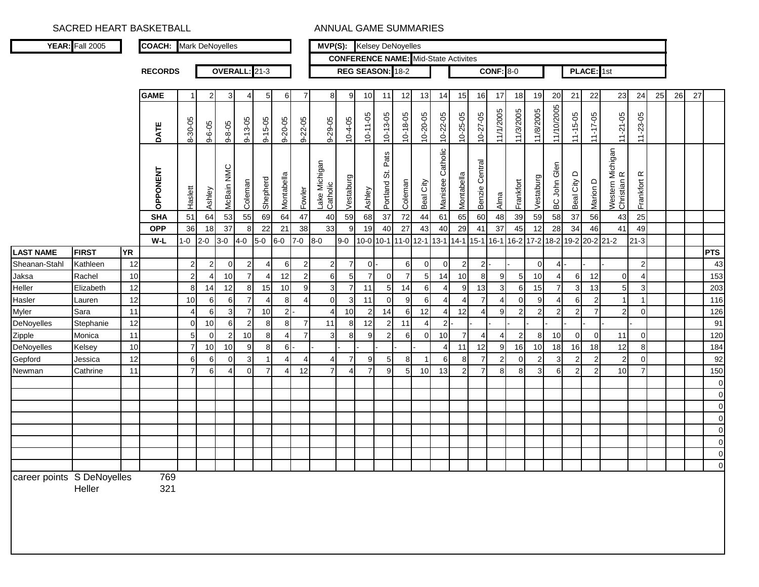|                            | YEAR: Fall 2005     |           | <b>COACH:</b> Mark DeNoyelles |                             |                      |                     |                |               |                                  |                       | <b>MVP(S):</b> Kelsey DeNoyelles |                      |                      |                                  |                |                 |                      |                                             |                                         |                  |                |           |                 |                      |                     |                                 |                |    |    |    |                            |
|----------------------------|---------------------|-----------|-------------------------------|-----------------------------|----------------------|---------------------|----------------|---------------|----------------------------------|-----------------------|----------------------------------|----------------------|----------------------|----------------------------------|----------------|-----------------|----------------------|---------------------------------------------|-----------------------------------------|------------------|----------------|-----------|-----------------|----------------------|---------------------|---------------------------------|----------------|----|----|----|----------------------------|
|                            |                     |           |                               |                             |                      |                     |                |               |                                  |                       |                                  |                      |                      |                                  |                |                 |                      | <b>CONFERENCE NAME:</b> Mid-State Activites |                                         |                  |                |           |                 |                      |                     |                                 |                |    |    |    |                            |
|                            |                     |           | <b>RECORDS</b>                |                             |                      | OVERALL: 21-3       |                |               |                                  |                       |                                  |                      | REG SEASON: 18-2     |                                  |                |                 |                      |                                             |                                         | <b>CONF: 8-0</b> |                |           |                 |                      | PLACE: 1st          |                                 |                |    |    |    |                            |
|                            |                     |           |                               |                             |                      |                     |                |               |                                  |                       |                                  |                      |                      |                                  |                |                 |                      |                                             |                                         |                  |                |           |                 |                      |                     |                                 |                |    |    |    |                            |
|                            |                     |           | <b>GAME</b>                   | $\mathbf{1}$                | $\overline{2}$       | 3                   |                |               | 6                                | 7                     | 8                                | 9                    | 10                   | 11                               | 12             | 13              | 14                   | 15                                          | 16                                      | 17               | 18             | 19        | 20              | 21                   | 22                  | 23                              | 24             | 25 | 26 | 27 |                            |
|                            |                     |           | DATE                          | 8-30-05                     | $9 - 6 - 05$         | $9 - 8 - 05$        | $9 - 13 - 05$  | $9 - 15 - 05$ | $9 - 20 - 05$                    | $9 - 22 - 05$         | $9 - 29 - 05$                    | 10-4-05              | $10 - 11 - 05$       | $10 - 13 - 05$                   | 10-18-05       | 10-20-05        | $10 - 22 - 05$       | $10 - 25 - 05$                              | $10 - 27 - 05$                          | 11/1/2005        | 11/3/2005      | 11/8/2005 | 11/10/2005      | $11 - 15 - 05$       | $11 - 17 - 05$      | $11 - 21 - 05$                  | $11 - 23 - 05$ |    |    |    |                            |
|                            |                     |           | <b>OPPONENT</b>               | Haslett                     | Ashley               | NMC<br>McBain       | Coleman        | Shepherd      | Montabella                       | Fowler                | Lake Michigan<br>Catholic        | Vestaburg            | Ashley               | Pats<br>Portland St.             | Coleman        | Beal City       | Catholic<br>Manistee | Montabella                                  | Central<br>Benzie                       | Alma             | Frankfort      | Vestaburg | Glen<br>BC John | $\circ$<br>Beal City | Marion D            | Western Michigan<br>Christian R | Frankfort R    |    |    |    |                            |
|                            |                     |           | <b>SHA</b>                    | 51                          | 64                   | 53                  | 55             | 69            | 64                               | 47                    | 40                               | 59                   | 68                   | 37                               | 72             | 44              | 61                   | 65                                          | 60                                      | 48               | 39             | 59        | 58              | 37                   | 56                  | 43                              | 25             |    |    |    |                            |
|                            |                     |           | <b>OPP</b>                    | 36                          | 18                   | 37                  | 8              | 22            | 21                               | 38                    | 33                               | 9                    | 19                   | 40                               | 27             | 43              | 40                   | 29                                          | 41                                      | 37               | 45             | 12        | 28              | 34                   | 46                  | 41                              | 49             |    |    |    |                            |
|                            |                     |           | W-L                           | $1 - 0$                     | $2 - 0$              | $3-0$               | $4-0$          | $5-0$         | $6-0$                            | $7 - 0$               | $8-0$                            | $9-0$                | 10-0 10-1            |                                  | $11-0$ 12-1    |                 | $13 - 1$             | $14 - 1$                                    | $15-1$                                  | $16 - 1$         | 16-2 17-2 18-2 |           |                 | $19-2$               | $20 - 2$ 21-2       |                                 | $21 - 3$       |    |    |    |                            |
| <b>LAST NAME</b>           | <b>FIRST</b>        | <b>YR</b> |                               |                             |                      |                     |                |               |                                  |                       |                                  |                      |                      |                                  |                |                 |                      |                                             |                                         |                  |                |           |                 |                      |                     |                                 |                |    |    |    | <b>PTS</b>                 |
| Sheanan-Stahl              | Kathleen            | 12        |                               | $\mathbf 2$                 | $\mathbf{2}$         | $\overline{0}$      | $\overline{2}$ |               | 61                               | $\overline{2}$        | $\mathbf{2}$                     | $\overline{7}$       | $0 -$                |                                  | 6              | $\overline{0}$  | $\overline{0}$       | $\sqrt{2}$                                  | $\overline{2}$                          |                  |                | οI        |                 |                      |                     |                                 | $\overline{2}$ |    |    |    | 43                         |
| Jaksa                      | Rachel              | 10        |                               | $\overline{a}$              | 4                    | 10                  | $\overline{7}$ |               | 12                               | $\overline{2}$        | 6                                | 5                    | $\overline{7}$       | $\overline{0}$                   | $\overline{7}$ | $5\overline{)}$ | 14                   | 10                                          | 8                                       | 9                | 5 <sub>l</sub> | 10        |                 | 6                    | 12                  | $\mathbf 0$                     | $\overline{4}$ |    |    |    | 153                        |
| Heller                     | Elizabeth           | 12        |                               | 8                           | 14                   | 12                  | 8              | 15            | 10                               | 9                     | $\mathbf{3}$                     | $\overline{7}$       | 11                   | 5 <sub>l</sub>                   | 14             | 6               | $\overline{4}$       | $\boldsymbol{9}$                            | 13                                      | 3 <sup>1</sup>   | 6              | 15        |                 | 3                    | 13                  | 5                               | 3              |    |    |    | 203                        |
| Hasler                     | Lauren              | 12        |                               | 10<br>$\boldsymbol{\Delta}$ | 6                    | 6                   |                |               | 8                                | $\boldsymbol{\Delta}$ | 0                                | $\mathbf{3}$         | 11                   | $\overline{0}$                   | 9              | 6               | $\overline{4}$       | 4                                           | $\overline{7}$<br>$\boldsymbol{\Delta}$ | 4                | $\Omega$       | 9         |                 | 6                    | $\overline{2}$<br>7 | -1                              |                |    |    |    | 116                        |
| Myler                      | Sara                | 11<br>12  |                               |                             | 6                    | $\mathbf{3}$        | $\overline{2}$ | 10<br>8       | 2 <sup>1</sup>                   | $\overline{7}$        | 4<br>11                          | 10<br>8 <sup>1</sup> | $\overline{2}$<br>12 | 14                               | 6              | 12<br>$\Delta$  | $\overline{4}$<br>2  | 12                                          |                                         | 9                | $\overline{2}$ | 21        |                 | $\overline{2}$       |                     | $\overline{2}$                  | $\Omega$       |    |    |    | 126<br>91                  |
| DeNoyelles                 | Stephanie<br>Monica | 11        |                               | $\overline{0}$<br>5         | 10<br>$\overline{0}$ | 6<br>$\overline{2}$ | 10             | 8             | 8 <sup>1</sup><br>$\overline{4}$ | $\overline{7}$        | 3                                | 8                    | 9                    | $\overline{2}$<br>$\overline{2}$ | 11<br>6        | $\overline{0}$  | 10                   | $\overline{7}$                              | 4                                       | 4                | $\overline{2}$ | 8         | 10              | $\overline{0}$       | $\overline{0}$      | 11                              | $\mathbf 0$    |    |    |    | 120                        |
| Zipple                     |                     | 10        |                               | $\overline{7}$              |                      |                     |                |               | $6 \mid$                         |                       |                                  |                      |                      |                                  |                |                 | $\overline{4}$       |                                             |                                         |                  | 16             |           |                 |                      | 18                  |                                 |                |    |    |    |                            |
| DeNoyelles                 | Kelsey              | 12        |                               |                             | 10 <sup>1</sup>      | 10                  | 9<br>3         | 8             |                                  | $\sqrt{2}$            |                                  | $\overline{7}$       |                      | 5 <sub>l</sub>                   |                |                 |                      | 11                                          | 12<br>$\overline{7}$                    | 9                | $\Omega$       | 10        | 18              | 16<br>$\overline{2}$ | 2                   | 12                              | 8<br>$\Omega$  |    |    |    | 184<br>92                  |
| Gepford                    | Jessica             |           |                               | 6<br>$\overline{7}$         | 6                    | $\overline{0}$<br>4 | $\Omega$       |               |                                  |                       | 4<br>$\overline{7}$              |                      | 9                    |                                  | 8              |                 | 6                    | 8                                           | $\overline{7}$                          | 2                |                | 2         |                 |                      |                     | $\overline{2}$<br>10            | $\overline{7}$ |    |    |    | 150                        |
| Newman                     | Cathrine            | 11        |                               |                             | 6                    |                     |                |               |                                  | 12                    |                                  | $\overline{4}$       |                      | 9                                | $5 \,$         | 10              | 13                   | $\overline{2}$                              |                                         | 8                | 8              | 31        | 6               |                      |                     |                                 |                |    |    |    | $\mathbf 0$                |
|                            |                     |           |                               |                             |                      |                     |                |               |                                  |                       |                                  |                      |                      |                                  |                |                 |                      |                                             |                                         |                  |                |           |                 |                      |                     |                                 |                |    |    |    |                            |
|                            |                     |           |                               |                             |                      |                     |                |               |                                  |                       |                                  |                      |                      |                                  |                |                 |                      |                                             |                                         |                  |                |           |                 |                      |                     |                                 |                |    |    |    | $\mathbf 0$<br>$\mathbf 0$ |
|                            |                     |           |                               |                             |                      |                     |                |               |                                  |                       |                                  |                      |                      |                                  |                |                 |                      |                                             |                                         |                  |                |           |                 |                      |                     |                                 |                |    |    |    | $\mathbf 0$                |
|                            |                     |           |                               |                             |                      |                     |                |               |                                  |                       |                                  |                      |                      |                                  |                |                 |                      |                                             |                                         |                  |                |           |                 |                      |                     |                                 |                |    |    |    | $\mathbf 0$                |
|                            |                     |           |                               |                             |                      |                     |                |               |                                  |                       |                                  |                      |                      |                                  |                |                 |                      |                                             |                                         |                  |                |           |                 |                      |                     |                                 |                |    |    |    | $\pmb{0}$                  |
|                            |                     |           |                               |                             |                      |                     |                |               |                                  |                       |                                  |                      |                      |                                  |                |                 |                      |                                             |                                         |                  |                |           |                 |                      |                     |                                 |                |    |    |    | $\mathbf 0$                |
|                            |                     |           |                               |                             |                      |                     |                |               |                                  |                       |                                  |                      |                      |                                  |                |                 |                      |                                             |                                         |                  |                |           |                 |                      |                     |                                 |                |    |    |    | $\overline{0}$             |
| career points S DeNoyelles | Heller              |           | 769<br>321                    |                             |                      |                     |                |               |                                  |                       |                                  |                      |                      |                                  |                |                 |                      |                                             |                                         |                  |                |           |                 |                      |                     |                                 |                |    |    |    |                            |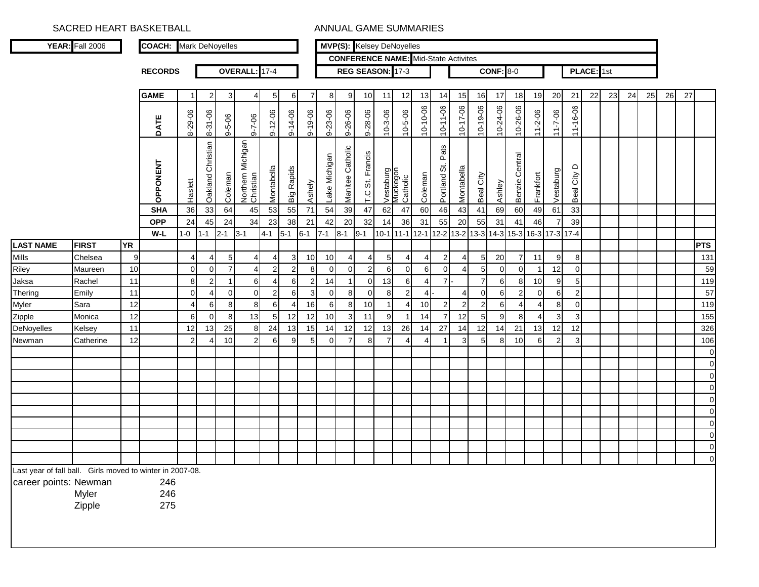|                       | <b>YEAR:</b> Fall 2006                                                       |           | <b>COACH:</b> Mark DeNoyelles |                     |                                  |                               |                                |                     |             |                     |                      |                     | <b>MVP(S):</b> Kelsey DeNoyelles                  |                       |                     |                                              |                       |                |                                   |                     |                   |                 |                |                                  |            |    |    |    |    |    |             |
|-----------------------|------------------------------------------------------------------------------|-----------|-------------------------------|---------------------|----------------------------------|-------------------------------|--------------------------------|---------------------|-------------|---------------------|----------------------|---------------------|---------------------------------------------------|-----------------------|---------------------|----------------------------------------------|-----------------------|----------------|-----------------------------------|---------------------|-------------------|-----------------|----------------|----------------------------------|------------|----|----|----|----|----|-------------|
|                       |                                                                              |           |                               |                     |                                  |                               |                                |                     |             |                     |                      |                     | <b>CONFERENCE NAME:</b> Mid-State Activites       |                       |                     |                                              |                       |                |                                   |                     |                   |                 |                |                                  |            |    |    |    |    |    |             |
|                       |                                                                              |           | <b>RECORDS</b>                |                     |                                  |                               | <b>OVERALL</b>                 | $17 - 4$            |             |                     |                      |                     | REG SEASON: 17-3                                  |                       |                     |                                              |                       |                |                                   | <b>CONF: 8-0</b>    |                   |                 |                |                                  | PLACE: 1st |    |    |    |    |    |             |
|                       |                                                                              |           | <b>GAME</b>                   | $\mathbf 1$         |                                  |                               |                                |                     |             | $\overline{7}$      |                      | 9                   |                                                   |                       |                     |                                              |                       |                |                                   |                     |                   |                 | 20             | 21                               | 22         | 23 | 24 | 25 | 26 | 27 |             |
|                       |                                                                              |           |                               |                     | 2                                | 3 <sup>1</sup>                | $\overline{4}$                 | 5 <sub>5</sub>      | 6           |                     | 8                    |                     | 10 <sup>1</sup>                                   | 11                    | 12                  | 13                                           | 14                    | 15             | <b>16</b>                         | 17                  | 18                | 19              |                |                                  |            |    |    |    |    |    |             |
|                       |                                                                              |           | DATE                          | 8-29-06             | 8-31-06                          | $9 - 5 - 06$                  | $9 - 7 - 06$                   | $9 - 12 - 06$       | 9-14-06     | $9 - 19 - 06$       | 9-23-06              | 9-26-06             | 9-28-06                                           | $10 - 3 - 06$         | $10 - 5 - 06$       | 10-10-06                                     | $10 - 11 - 06$        | 10-17-06       | 10-19-06                          | 10-24-06            | 10-26-06          | 11-2-06         | $11 - 7 - 06$  | 11-16-06                         |            |    |    |    |    |    |             |
|                       |                                                                              |           | <b>OPPONENT</b>               | Haslett             | Oakland Christian                | Coleman                       | Northern Michigan<br>Christian | Montabella          | Big Rapids  | Ashely              | ake Michigan         | Catholic<br>Manitee | Francis<br>$\ddot{\tilde{\mathrm{o}}}$<br>$\circ$ | Vestaburg<br>Muckegon | Catholic            | Coleman                                      | Pats<br>ö<br>Portland | Montabella     | City<br>Beal                      | Ashley              | Central<br>Benzie | Frankfort       | Vestaburg      | $\Omega$<br>City<br>Beal         |            |    |    |    |    |    |             |
|                       |                                                                              |           | <b>SHA</b>                    | 36                  | 33                               | 64                            | 45                             | 53                  | 55          | 71                  | 54                   | 39                  | 47                                                | 62                    | 47                  | 60                                           | 46                    | 43             | 41                                | 69                  | 60                | 49              | 61             | 33                               |            |    |    |    |    |    |             |
|                       |                                                                              |           | <b>OPP</b>                    | 24                  | 45                               | 24                            | 34                             | 23                  | 38          | 21                  | 42                   | 20                  | 32                                                | 14                    | 36                  | 31                                           | 55                    | 20             | 55                                | 31                  | 41                | 46              | 7              | 39                               |            |    |    |    |    |    |             |
|                       |                                                                              |           | W-L                           | $1 - 0$             | $1 - 1$                          | $2 - 1$                       | $3 - 1$                        | $4 - 1$             | $5-1$       | $6 - 1$             | $7 - 1$              | $8 - 1$             | $9 - 1$                                           |                       | $10-1$ 11-1         | 12-1 12-2 13-2 13-3 14-3 15-3 16-3 17-3 17-4 |                       |                |                                   |                     |                   |                 |                |                                  |            |    |    |    |    |    |             |
| <b>LAST NAME</b>      | <b>FIRST</b>                                                                 | <b>YR</b> |                               |                     |                                  |                               |                                |                     |             |                     |                      |                     |                                                   |                       |                     |                                              |                       |                |                                   |                     |                   |                 |                |                                  |            |    |    |    |    |    | <b>PTS</b>  |
| <b>Mills</b>          | Chelsea                                                                      | 9         |                               | $\overline{4}$      | 4                                | 5                             | 4                              | 4                   | 3           | 10 <sup>1</sup>     | 10                   | 4                   | 4                                                 | 5                     | 4                   | 4                                            | $\overline{2}$        | 4              | 5 <sub>5</sub>                    | 20                  | 7<br>$\Omega$     | 11              | 9              | 8                                |            |    |    |    |    |    | 131         |
| Riley                 | Maureen                                                                      | 10<br>11  |                               | $\overline{0}$<br>8 | $\overline{0}$<br>$\overline{2}$ | $\overline{7}$<br>$\mathbf 1$ | 4<br>6                         | $\overline{2}$<br>4 | $2 \,$<br>6 | 8<br>$\overline{2}$ | $\overline{0}$<br>14 | $\overline{0}$      | $\overline{2}$<br>$\overline{0}$                  | 6<br>13               | $\overline{0}$<br>6 | 6<br>4                                       | $\overline{0}$<br>71  | 4              | $5\overline{)}$<br>$\overline{7}$ | $\overline{0}$<br>6 | 8                 | 10 <sup>1</sup> | 12<br>9        | $\overline{0}$<br>5 <sub>l</sub> |            |    |    |    |    |    | 59<br>119   |
| Jaksa<br>Thering      | Rachel<br>Emily                                                              | 11        |                               | $\overline{0}$      | 4                                | $\overline{0}$                | 0                              | $\overline{2}$      | 6           | 3                   | $\overline{0}$       | 8                   | $\overline{0}$                                    | 8                     | $\overline{2}$      | $\overline{4}$                               |                       | 4              | 0                                 | 61                  | $\overline{2}$    | $\overline{0}$  | 6              | 2 <sub>l</sub>                   |            |    |    |    |    |    | 57          |
| Myler                 | Sara                                                                         | 12        |                               | $\overline{4}$      | 6                                | 8                             | 8                              | 6                   | 4           | 16                  | 6                    | 8                   | 10 <sup>1</sup>                                   | $\mathbf{1}$          | 4                   | 10                                           | $2 \,$                | $\overline{2}$ | $\overline{2}$                    | 6                   | $\overline{4}$    | $\overline{4}$  | 8 <sup>1</sup> | $\overline{0}$                   |            |    |    |    |    |    | 119         |
| Zipple                | Monica                                                                       | 12        |                               | $6 \mid$            | $\overline{0}$                   | 8                             | 13                             | 5 <sub>5</sub>      | 12          | 12                  | 10                   | 3 <sup>1</sup>      | 11                                                | 9                     |                     | 14                                           | $\overline{7}$        | 12             | 5 <sub>l</sub>                    | 9                   | 8                 | $\overline{4}$  | 3              | 3 <sup>1</sup>                   |            |    |    |    |    |    | 155         |
| DeNoyelles            | Kelsey                                                                       | 11        |                               | 12                  | 13                               | 25                            | 8                              | 24                  | 13          | 15                  | 14                   | 12                  | $12 \square$                                      | 13                    | 26                  | 14                                           | 27                    | 14             | 12                                | 14                  | 21                | 13              | 12             | 12                               |            |    |    |    |    |    | 326         |
| Newman                | Catherine                                                                    | 12        |                               | $\overline{2}$      | 4                                | 10                            | $\overline{2}$                 | 6                   | 9           | 5 <sup>1</sup>      | 0                    | $\overline{7}$      | 8                                                 | $\overline{7}$        | 4                   | 4                                            |                       | 3              | 5 <sub>l</sub>                    | 8                   | 10                | 6               | $\overline{2}$ | $\mathbf{3}$                     |            |    |    |    |    |    | 106         |
|                       |                                                                              |           |                               |                     |                                  |                               |                                |                     |             |                     |                      |                     |                                                   |                       |                     |                                              |                       |                |                                   |                     |                   |                 |                |                                  |            |    |    |    |    |    | $\pmb{0}$   |
|                       |                                                                              |           |                               |                     |                                  |                               |                                |                     |             |                     |                      |                     |                                                   |                       |                     |                                              |                       |                |                                   |                     |                   |                 |                |                                  |            |    |    |    |    |    | $\pmb{0}$   |
|                       |                                                                              |           |                               |                     |                                  |                               |                                |                     |             |                     |                      |                     |                                                   |                       |                     |                                              |                       |                |                                   |                     |                   |                 |                |                                  |            |    |    |    |    |    | $\mathbf 0$ |
|                       |                                                                              |           |                               |                     |                                  |                               |                                |                     |             |                     |                      |                     |                                                   |                       |                     |                                              |                       |                |                                   |                     |                   |                 |                |                                  |            |    |    |    |    |    | $\pmb{0}$   |
|                       |                                                                              |           |                               |                     |                                  |                               |                                |                     |             |                     |                      |                     |                                                   |                       |                     |                                              |                       |                |                                   |                     |                   |                 |                |                                  |            |    |    |    |    |    | $\pmb{0}$   |
|                       |                                                                              |           |                               |                     |                                  |                               |                                |                     |             |                     |                      |                     |                                                   |                       |                     |                                              |                       |                |                                   |                     |                   |                 |                |                                  |            |    |    |    |    |    | $\mathbf 0$ |
|                       |                                                                              |           |                               |                     |                                  |                               |                                |                     |             |                     |                      |                     |                                                   |                       |                     |                                              |                       |                |                                   |                     |                   |                 |                |                                  |            |    |    |    |    |    | $\pmb{0}$   |
|                       |                                                                              |           |                               |                     |                                  |                               |                                |                     |             |                     |                      |                     |                                                   |                       |                     |                                              |                       |                |                                   |                     |                   |                 |                |                                  |            |    |    |    |    |    | $\mathbf 0$ |
|                       |                                                                              |           |                               |                     |                                  |                               |                                |                     |             |                     |                      |                     |                                                   |                       |                     |                                              |                       |                |                                   |                     |                   |                 |                |                                  |            |    |    |    |    |    | $\mathbf 0$ |
|                       |                                                                              |           |                               |                     |                                  |                               |                                |                     |             |                     |                      |                     |                                                   |                       |                     |                                              |                       |                |                                   |                     |                   |                 |                |                                  |            |    |    |    |    |    | $\mathbf 0$ |
| career points: Newman | Last year of fall ball. Girls moved to winter in 2007-08.<br>Myler<br>Zipple |           | 246<br>246<br>275             |                     |                                  |                               |                                |                     |             |                     |                      |                     |                                                   |                       |                     |                                              |                       |                |                                   |                     |                   |                 |                |                                  |            |    |    |    |    |    |             |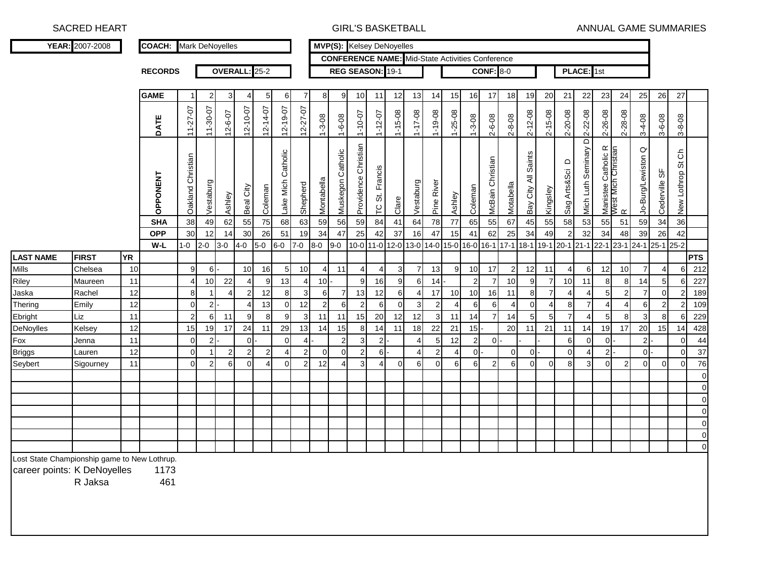SACRED HEART GIRL'S BASKETBALL

ANNUAL GAME SUMMARIES

|                                                                             | YEAR: 2007-2008   |           | <b>COACH:</b> Mark DeNoyelles |                     |                  |                |                      |                      |                      |                                |                      |                   |                      | <b>MVP(S):</b> Kelsey DeNoyelles |                                   |                                                                  |                 |                  |                      |                      |                      |                     |                      |                         |                      |                  |                                                 |                      |                  |                      |            |
|-----------------------------------------------------------------------------|-------------------|-----------|-------------------------------|---------------------|------------------|----------------|----------------------|----------------------|----------------------|--------------------------------|----------------------|-------------------|----------------------|----------------------------------|-----------------------------------|------------------------------------------------------------------|-----------------|------------------|----------------------|----------------------|----------------------|---------------------|----------------------|-------------------------|----------------------|------------------|-------------------------------------------------|----------------------|------------------|----------------------|------------|
|                                                                             |                   |           |                               |                     |                  |                |                      |                      |                      |                                |                      |                   |                      |                                  |                                   | <b>CONFERENCE NAME:</b> Mid-State Activities Conference          |                 |                  |                      |                      |                      |                     |                      |                         |                      |                  |                                                 |                      |                  |                      |            |
|                                                                             |                   |           | <b>RECORDS</b>                |                     |                  |                | OVERALL: 25-2        |                      |                      |                                |                      |                   |                      | REG SEASON: 19-1                 |                                   |                                                                  |                 |                  |                      | <b>CONF: 8-0</b>     |                      |                     |                      |                         | PLACE: 1st           |                  |                                                 |                      |                  |                      |            |
|                                                                             |                   |           | <b>GAME</b>                   | 1                   | $\mathbf{2}$     | 3              | 4                    | $5\overline{)}$      | 6                    | 7                              | 8                    | 9                 | 10                   | 11                               | 12                                | 13                                                               | 14              | 15               | 16                   | 17                   | 18                   | 19                  | 20                   | 21                      | 22                   | 23               | 24                                              | 25                   | 26               | 27                   |            |
|                                                                             |                   |           | DATE                          | $11 - 27 - 07$      | 11-30-07         | 12-6-07        | $12 - 10 - 07$       | $12 - 14 - 07$       | $12 - 19 - 07$       | 12-27-07                       | $1 - 3 - 08$         | $1 - 6 - 08$      | $1 - 10 - 07$        | $1 - 12 - 07$                    | $1 - 15 - 08$                     | $1 - 17 - 08$                                                    | $1 - 19 - 08$   | $1 - 25 - 08$    | $1 - 3 - 08$         | $2 - 6 - 08$         | $2 - 8 - 08$         | $2 - 12 - 08$       | 2-15-08              | $2 - 20 - 08$           | 2-22-08              | 2-26-08          | 2-28-08                                         | $3-4-08$             | $3 - 6 - 08$     | $3 - 8 - 08$         |            |
|                                                                             |                   |           | OPPONENT                      | Oakland Christian   | Vestaburg        | Ashley         | Beal City            | Coleman              | Lake Mich Catholic   | Shepherd                       | Montabella           | Muskegon Catholic | Providence Christian | TC St. Francis                   | Clare                             | Vestaburg                                                        | Pine River      | Ashley           | Coleman              | McBain Christian     | Motabella            | Bay City All Saints | Kingsley             | $\circ$<br>Sag Arts&Sci | Mich Luth Seminary D |                  | Manistee Catholic R<br>West Mich Christian<br>R | Jo-Burg/Lewiston Q   | Cederville SF    | င်<br>New Lothrop St |            |
|                                                                             |                   |           | <b>SHA</b>                    | 38                  | 49               | 62             | 55                   | 75                   | 68                   | 63                             | 59                   | 56                | 59                   | 84                               | 41                                | 64                                                               | 78              | $77$             | 65                   | 55                   | 67                   | 45                  | 55                   | 58                      | 53                   | 55               | 51                                              | 59                   | 34               | 36                   |            |
|                                                                             |                   |           | <b>OPP</b>                    | 30                  | 12               | 14             | 30                   | 26                   | 51                   | 19                             | 34                   | 47                | 25                   | 42                               | 37                                | 16                                                               | 47              | 15               | 41                   | 62                   | 25                   | 34                  | 49                   | $\sqrt{2}$              | 32                   | 34               | 48                                              | 39                   | 26               | 42                   |            |
|                                                                             |                   |           | W-L                           | $1 - 0$             | $2 - 0$          | $3 - 0$        | $4-0$                | $5-0$                | $6-0$                | $7-0$                          | $8-0$                | $9-0$             |                      |                                  |                                   | 10-0 11-0 12-0 13-0 14-0 15-0 16-0 16-1 17-1 18-1 19-1 20-1 21-1 |                 |                  |                      |                      |                      |                     |                      |                         |                      | 22-1 23-1        |                                                 | 24-1 25-1 25-2       |                  |                      |            |
| <b>LAST NAME</b>                                                            | <b>FIRST</b>      | <b>YR</b> |                               |                     |                  |                |                      |                      |                      |                                |                      |                   |                      |                                  |                                   |                                                                  |                 |                  |                      |                      |                      |                     |                      |                         |                      |                  |                                                 |                      |                  |                      | <b>PTS</b> |
| Mills                                                                       | Chelsea           | 10<br>11  |                               | 9<br>$\overline{4}$ | 6<br>10          | 22             | 10<br>$\overline{4}$ | 16                   | 5 <sub>5</sub><br>13 | 10                             | $\overline{a}$<br>10 | 11                | 4<br>9               | 4<br>16                          | $\mathbf{3}$                      | $\overline{7}$                                                   | 13<br>14        | $\boldsymbol{9}$ | 10<br>$\overline{c}$ | 17<br>$\overline{7}$ | $\overline{c}$<br>10 | 12                  | 11<br>$\overline{7}$ | 4<br>10                 | 6<br>11              | 12               | 10                                              | $\overline{7}$       | $\overline{4}$   | 6                    | 212<br>227 |
| Riley<br>Jaska                                                              | Maureen<br>Rachel | 12        |                               | 8                   |                  | $\overline{4}$ | $\overline{2}$       | $\overline{9}$<br>12 | 8                    | $\overline{4}$<br>$\mathbf{3}$ | 6                    | $\overline{7}$    | 13                   | 12                               | $\overline{9}$<br>$6\phantom{.}6$ | 6<br>4                                                           | 17              | 10               | 10                   | 16                   | 11                   | 9<br>$\bf8$         | $\overline{7}$       | 4                       | $\overline{4}$       | 8<br>$\mathbf 5$ | 8<br>$\overline{2}$                             | 14<br>$\overline{7}$ | 5<br>$\mathbf 0$ | 6<br>$\overline{2}$  | 189        |
| Thering                                                                     | Emily             | 12        |                               | $\overline{0}$      | $2\vert$         |                | $\overline{4}$       | 13                   | $\overline{0}$       | 12                             | $\overline{2}$       | 6                 | $\overline{2}$       | 6                                | $\overline{0}$                    | $\mathbf{3}$                                                     | $\mathbf{2}$    | 4                | 6                    | 6                    | $\overline{4}$       | $\mathbf 0$         | $\overline{4}$       | 8                       | $\overline{7}$       | $\overline{4}$   | $\overline{4}$                                  | 6                    | $\overline{2}$   | $\overline{2}$       | 109        |
| Ebright                                                                     | Liz               | 11        |                               | $\overline{2}$      | 6                | 11             | 9                    | 8                    | 9                    | 3                              | 11                   | 11                | 15                   | 20                               | 12                                | 12                                                               | $\mathbf{3}$    | 11               | 14                   | $\overline{7}$       | 14                   | 5                   | 5                    | $\overline{7}$          | $\overline{4}$       | 5                | 8                                               | 3                    | 8                | 6                    | 229        |
| DeNoylles                                                                   | Kelsey            | 12        |                               | 15                  | 19               | 17             | 24                   | 11                   | 29                   | 13                             | 14                   | 15                | 8                    | 14                               | 11                                | 18                                                               | 22              | 21               | 15                   |                      | 20                   | 11                  | 21                   | 11                      | 14                   | 19               | 17                                              | 20                   | 15               | 14                   | 428        |
| Fox                                                                         | Jenna             | 11        |                               | $\overline{0}$      | $2$ -            |                | 0                    |                      | $\overline{0}$       | $4$ .                          |                      | $\overline{c}$    | $\mathbf{3}$         | 2                                |                                   | 4                                                                | $5\phantom{.0}$ | 12               | $\overline{2}$       | $\overline{0}$       |                      |                     |                      | 6                       | 0                    | $\mathbf 0$      |                                                 | $\overline{c}$       |                  | $\mathbf 0$          | 44         |
| <b>Briggs</b>                                                               | Lauren            | 12        |                               | $\mathbf 0$         | $\mathbf{1}$     | $\mathbf{2}$   | $\mathbf{2}$         | $\mathbf{2}$         | $\overline{4}$       | $\mathbf{2}$                   | $\overline{0}$       | $\mathbf 0$       | $\overline{c}$       | 6ŀ                               |                                   | 4                                                                | $\mathbf 2$     | 4                | $\overline{0}$       |                      | $\mathbf 0$          | $\overline{0}$      |                      | $\mathbf 0$             | $\overline{4}$       | $\overline{2}$   |                                                 | 0                    |                  | $\mathbf 0$          | 37         |
| Seybert                                                                     | Sigourney         | 11        |                               | $\mathbf 0$         | $2 \overline{2}$ | 6              | $\overline{0}$       | $\overline{4}$       | $\mathbf{0}$         | $\overline{2}$                 | 12                   | 4                 | 3                    | 4                                | $\overline{0}$                    | 6 <sup>1</sup>                                                   | $\overline{0}$  | 6                | 6                    | $\boldsymbol{2}$     | 6                    | $\mathbf 0$         | $\mathbf 0$          | 8                       | 3                    | $\mathbf 0$      | $\overline{2}$                                  | $\Omega$             | $\Omega$         | $\mathbf 0$          | 76         |
|                                                                             |                   |           |                               |                     |                  |                |                      |                      |                      |                                |                      |                   |                      |                                  |                                   |                                                                  |                 |                  |                      |                      |                      |                     |                      |                         |                      |                  |                                                 |                      |                  |                      | $\Omega$   |
|                                                                             |                   |           |                               |                     |                  |                |                      |                      |                      |                                |                      |                   |                      |                                  |                                   |                                                                  |                 |                  |                      |                      |                      |                     |                      |                         |                      |                  |                                                 |                      |                  |                      |            |
|                                                                             |                   |           |                               |                     |                  |                |                      |                      |                      |                                |                      |                   |                      |                                  |                                   |                                                                  |                 |                  |                      |                      |                      |                     |                      |                         |                      |                  |                                                 |                      |                  |                      | $\Omega$   |
|                                                                             |                   |           |                               |                     |                  |                |                      |                      |                      |                                |                      |                   |                      |                                  |                                   |                                                                  |                 |                  |                      |                      |                      |                     |                      |                         |                      |                  |                                                 |                      |                  |                      |            |
|                                                                             |                   |           |                               |                     |                  |                |                      |                      |                      |                                |                      |                   |                      |                                  |                                   |                                                                  |                 |                  |                      |                      |                      |                     |                      |                         |                      |                  |                                                 |                      |                  |                      |            |
|                                                                             |                   |           |                               |                     |                  |                |                      |                      |                      |                                |                      |                   |                      |                                  |                                   |                                                                  |                 |                  |                      |                      |                      |                     |                      |                         |                      |                  |                                                 |                      |                  |                      | $\Omega$   |
|                                                                             |                   |           |                               |                     |                  |                |                      |                      |                      |                                |                      |                   |                      |                                  |                                   |                                                                  |                 |                  |                      |                      |                      |                     |                      |                         |                      |                  |                                                 |                      |                  |                      | $\Omega$   |
| Lost State Championship game to New Lothrup.<br>career points: K DeNoyelles | R Jaksa           |           | 1173<br>461                   |                     |                  |                |                      |                      |                      |                                |                      |                   |                      |                                  |                                   |                                                                  |                 |                  |                      |                      |                      |                     |                      |                         |                      |                  |                                                 |                      |                  |                      |            |